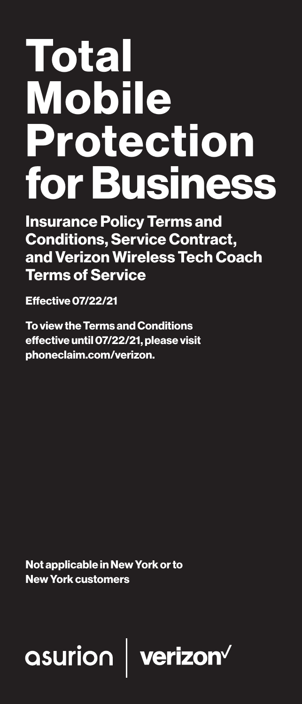# Total Mobile Protection for Business

Insurance Policy Terms and Conditions, Service Contract, and Verizon Wireless Tech Coach Terms of Service

Effective 07/22/21

To view the Terms and Conditions effective until 07/22/21, please visit phoneclaim.com/verizon.

Not applicable in New York or to New York customers

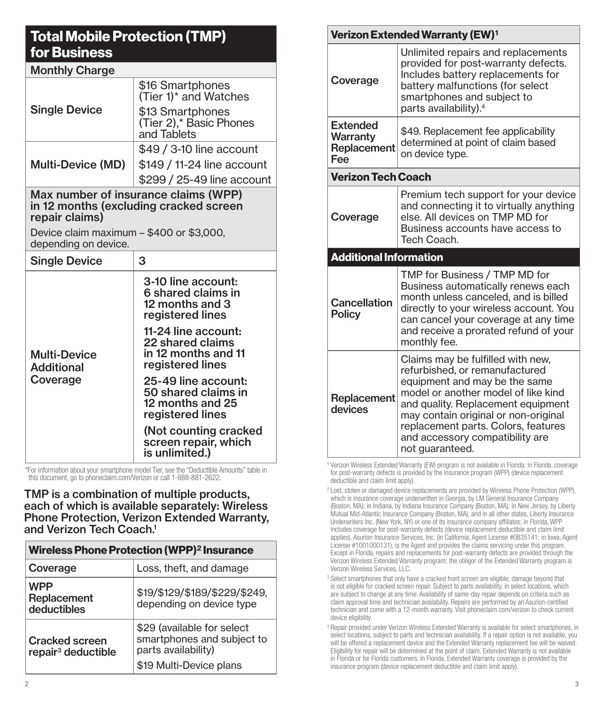## Total Mobile Protection (TMP) for Business

| <b>Monthly Charge</b>                                            |                                                                                    |  |
|------------------------------------------------------------------|------------------------------------------------------------------------------------|--|
|                                                                  | \$16 Smartphones<br>(Tier 1) <sup>*</sup> and Watches                              |  |
| <b>Single Device</b>                                             | \$13 Smartphones<br>(Tier 2),* Basic Phones<br>and Tablets                         |  |
|                                                                  | \$49 / 3-10 line account                                                           |  |
| <b>Multi-Device (MD)</b>                                         | \$149 / 11-24 line account                                                         |  |
|                                                                  | \$299 / 25-49 line account                                                         |  |
| repair claims)                                                   | Max number of insurance claims (WPP)<br>in 12 months (excluding cracked screen     |  |
| Device claim maximum – \$400 or \$3,000,<br>depending on device. |                                                                                    |  |
| <b>Single Device</b>                                             | 3                                                                                  |  |
| <b>Multi-Device</b><br>Additional<br>Coverage                    | 3-10 line account:<br>6 shared claims in<br>12 months and 3<br>registered lines    |  |
|                                                                  | 11-24 line account:<br>22 shared claims<br>in 12 months and 11<br>registered lines |  |
|                                                                  | 25-49 line account:<br>50 shared claims in<br>12 months and 25<br>registered lines |  |
|                                                                  | (Not counting cracked<br>screen repair, which<br>is unlimited.)                    |  |

\*For information about your smartphone model Tier, see the "Deductible Amounts" table in this document, go to phoneclaim.com/Verizon or call 1-888-881-2622.

TMP is a combination of multiple products, each of which is available separately: Wireless Phone Protection, Verizon Extended Warranty, and Verizon Tech Coach.<sup>1</sup>

| Wireless Phone Protection (WPP) <sup>2</sup> Insurance  |                                                                                                            |  |
|---------------------------------------------------------|------------------------------------------------------------------------------------------------------------|--|
| Coverage                                                | Loss, theft, and damage                                                                                    |  |
| <b>WPP</b><br>Replacement<br>deductibles                | \$19/\$129/\$189/\$229/\$249,<br>depending on device type                                                  |  |
| <b>Cracked screen</b><br>repair <sup>3</sup> deductible | \$29 (available for select<br>smartphones and subject to<br>parts availability)<br>\$19 Multi-Device plans |  |

| <b>Verizon Extended Warranty (EW)1</b>            |                                                                                                                                                                                                                                                                                                                        |  |
|---------------------------------------------------|------------------------------------------------------------------------------------------------------------------------------------------------------------------------------------------------------------------------------------------------------------------------------------------------------------------------|--|
| Coverage                                          | Unlimited repairs and replacements<br>provided for post-warranty defects.<br>Includes battery replacements for<br>battery malfunctions (for select<br>smartphones and subject to<br>parts availability). <sup>4</sup>                                                                                                  |  |
| <b>Extended</b><br>Warranty<br>Replacement<br>Fee | \$49. Replacement fee applicability<br>determined at point of claim based<br>on device type.                                                                                                                                                                                                                           |  |
| <b>Verizon Tech Coach</b>                         |                                                                                                                                                                                                                                                                                                                        |  |
| Coverage                                          | Premium tech support for your device<br>and connecting it to virtually anything<br>else. All devices on TMP MD for<br>Business accounts have access to<br>Tech Coach.                                                                                                                                                  |  |
| <b>Additional Information</b>                     |                                                                                                                                                                                                                                                                                                                        |  |
| Cancellation<br><b>Policy</b>                     | TMP for Business / TMP MD for<br>Business automatically renews each<br>month unless canceled, and is billed<br>directly to your wireless account. You<br>can cancel your coverage at any time<br>and receive a prorated refund of your<br>monthly fee.                                                                 |  |
| Replacement<br>devices                            | Claims may be fulfilled with new,<br>refurbished, or remanufactured<br>equipment and may be the same<br>model or another model of like kind<br>and quality. Replacement equipment<br>may contain original or non-original<br>replacement parts. Colors, features<br>and accessory compatibility are<br>not guaranteed. |  |

<sup>1</sup> Verizon Wireless Extended Warranty (EW) program is not available in Florida; in Florida, coverage for post-warranty defects is provided by the insurance program (WPP) (device replacement deductible and claim limit apply).

<sup>&</sup>lt;sup>2</sup> Lost, stolen or damaged device replacements are provided by Wireless Phone Protection (WPP), which is insurance coverage underwritten in Georgia, by LM General Insurance Company (Boston, MA); in Indiana, by Indiana Insurance Company (Boston, MA); in New Jersey, by Liberty Mutual Mid-Atlantic Insurance Company (Boston, MA), and in all other states, Liberty Insurance Underwriters Inc. (New York, NY) or one of its insurance company affiliates; in Florida, WPP includes coverage for post-warranty defects (device replacement deductible and claim limit applies). Asurion Insurance Services, Inc. (in California, Agent License #0B35141; in Iowa, Agent License #1001000131), is the Agent and provides the claims servicing under this program. Except in Florida, repairs and replacements for post-warranty defects are provided through the Verizon Wireless Extended Warranty program; the obligor of the Extended Warranty program is Verizon Wireless Services, LLC.

<sup>&</sup>lt;sup>3</sup> Select smartphones that only have a cracked front screen are eligible; damage beyond that is not eligible for cracked screen repair. Subject to parts availability, in select locations, which are subject to change at any time. Availability of same-day repair depends on criteria such as claim approval time and technician availability. Repairs are performed by an Asurion-certified technician and come with a 12-month warranty. Visit phoneclaim.com/verizon to check current device eligibility.

<sup>4</sup> Repair provided under Verizon Wireless Extended Warranty is available for select smartphones, in select locations, subject to parts and technician availability. If a repair option is not available, you will be offered a replacement device and the Extended Warranty replacement fee will be waived. Eligibility for repair will be determined at the point of claim. Extended Warranty is not available in Florida or for Florida customers. In Florida, Extended Warranty coverage is provided by the insurance program (device replacement deductible and claim limit apply).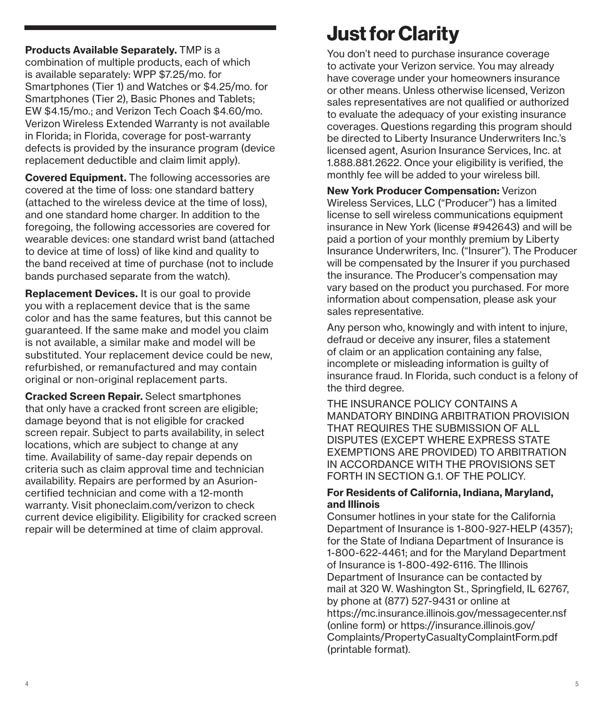Products Available Separately. TMP is a combination of multiple products, each of which is available separately: WPP \$7.25/mo. for Smartphones (Tier 1) and Watches or \$4.25/mo. for Smartphones (Tier 2), Basic Phones and Tablets; EW \$4.15/mo.; and Verizon Tech Coach \$4.60/mo. Verizon Wireless Extended Warranty is not available in Florida; in Florida, coverage for post-warranty defects is provided by the insurance program (device replacement deductible and claim limit apply).

Covered Equipment. The following accessories are covered at the time of loss: one standard battery (attached to the wireless device at the time of loss), and one standard home charger. In addition to the foregoing, the following accessories are covered for wearable devices: one standard wrist band (attached to device at time of loss) of like kind and quality to the band received at time of purchase (not to include bands purchased separate from the watch).

Replacement Devices. It is our goal to provide you with a replacement device that is the same color and has the same features, but this cannot be guaranteed. If the same make and model you claim is not available, a similar make and model will be substituted. Your replacement device could be new, refurbished, or remanufactured and may contain original or non-original replacement parts.

Cracked Screen Repair. Select smartphones that only have a cracked front screen are eligible; damage beyond that is not eligible for cracked screen repair. Subject to parts availability, in select locations, which are subject to change at any time. Availability of same-day repair depends on criteria such as claim approval time and technician availability. Repairs are performed by an Asurioncertified technician and come with a 12-month warranty. Visit phoneclaim.com/verizon to check current device eligibility. Eligibility for cracked screen repair will be determined at time of claim approval.

# Just for Clarity

You don't need to purchase insurance coverage to activate your Verizon service. You may already have coverage under your homeowners insurance or other means. Unless otherwise licensed, Verizon sales representatives are not qualified or authorized to evaluate the adequacy of your existing insurance coverages. Questions regarding this program should be directed to Liberty Insurance Underwriters Inc.'s licensed agent, Asurion Insurance Services, Inc. at 1.888.881.2622. Once your eligibility is verified, the monthly fee will be added to your wireless bill.

New York Producer Compensation: Verizon Wireless Services, LLC ("Producer") has a limited license to sell wireless communications equipment insurance in New York (license #942643) and will be paid a portion of your monthly premium by Liberty Insurance Underwriters, Inc. ("Insurer"). The Producer will be compensated by the Insurer if you purchased the insurance. The Producer's compensation may vary based on the product you purchased. For more information about compensation, please ask your sales representative.

Any person who, knowingly and with intent to injure, defraud or deceive any insurer, files a statement of claim or an application containing any false, incomplete or misleading information is guilty of insurance fraud. In Florida, such conduct is a felony of the third degree.

THE INSURANCE POLICY CONTAINS A MANDATORY BINDING ARBITRATION PROVISION THAT REQUIRES THE SUBMISSION OF ALL DISPUTES (EXCEPT WHERE EXPRESS STATE EXEMPTIONS ARE PROVIDED) TO ARBITRATION IN ACCORDANCE WITH THE PROVISIONS SET FORTH IN SECTION G.1. OF THE POLICY.

#### For Residents of California, Indiana, Maryland, and Illinois

Consumer hotlines in your state for the California Department of Insurance is 1-800-927-HELP (4357); for the State of Indiana Department of Insurance is 1-800-622-4461; and for the Maryland Department of Insurance is 1-800-492-6116. The Illinois Department of Insurance can be contacted by mail at 320 W. Washington St., Springfield, IL 62767, by phone at (877) 527-9431 or online at https://mc.insurance.illinois.gov/messagecenter.nsf (online form) or https://insurance.illinois.gov/ Complaints/PropertyCasualtyComplaintForm.pdf (printable format).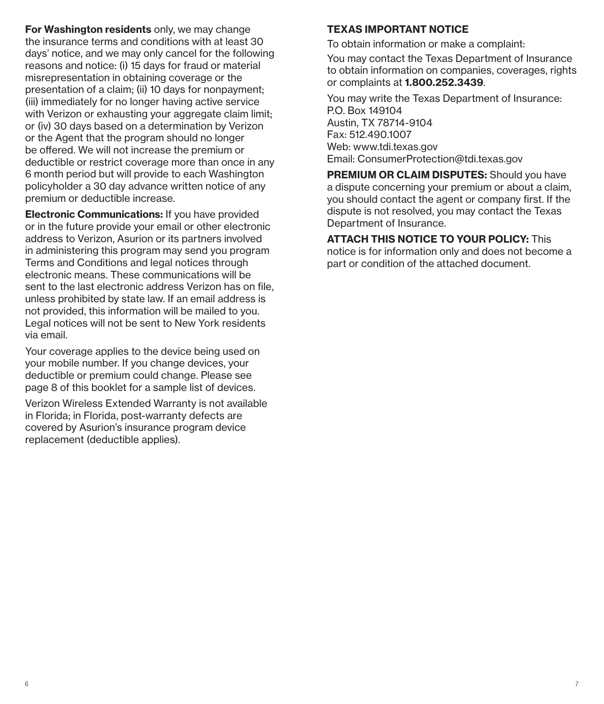For Washington residents only, we may change the insurance terms and conditions with at least 30 days' notice, and we may only cancel for the following reasons and notice: (i) 15 days for fraud or material misrepresentation in obtaining coverage or the presentation of a claim; (ii) 10 days for nonpayment; (iii) immediately for no longer having active service with Verizon or exhausting your aggregate claim limit; or (iv) 30 days based on a determination by Verizon or the Agent that the program should no longer be offered. We will not increase the premium or deductible or restrict coverage more than once in any 6 month period but will provide to each Washington policyholder a 30 day advance written notice of any premium or deductible increase.

Electronic Communications: If you have provided or in the future provide your email or other electronic address to Verizon, Asurion or its partners involved in administering this program may send you program Terms and Conditions and legal notices through electronic means. These communications will be sent to the last electronic address Verizon has on file, unless prohibited by state law. If an email address is not provided, this information will be mailed to you. Legal notices will not be sent to New York residents via email.

Your coverage applies to the device being used on your mobile number. If you change devices, your deductible or premium could change. Please see page 8 of this booklet for a sample list of devices.

Verizon Wireless Extended Warranty is not available in Florida; in Florida, post-warranty defects are covered by Asurion's insurance program device replacement (deductible applies).

#### TEXAS IMPORTANT NOTICE

To obtain information or make a complaint:

You may contact the Texas Department of Insurance to obtain information on companies, coverages, rights or complaints at 1.800.252.3439.

You may write the Texas Department of Insurance: P.O. Box 149104 Austin, TX 78714-9104 Fax: 512.490.1007 Web: www.tdi.texas.gov Email: ConsumerProtection@tdi.texas.gov

PREMIUM OR CLAIM DISPUTES: Should you have a dispute concerning your premium or about a claim, you should contact the agent or company first. If the dispute is not resolved, you may contact the Texas Department of Insurance.

ATTACH THIS NOTICE TO YOUR POLICY: This notice is for information only and does not become a part or condition of the attached document.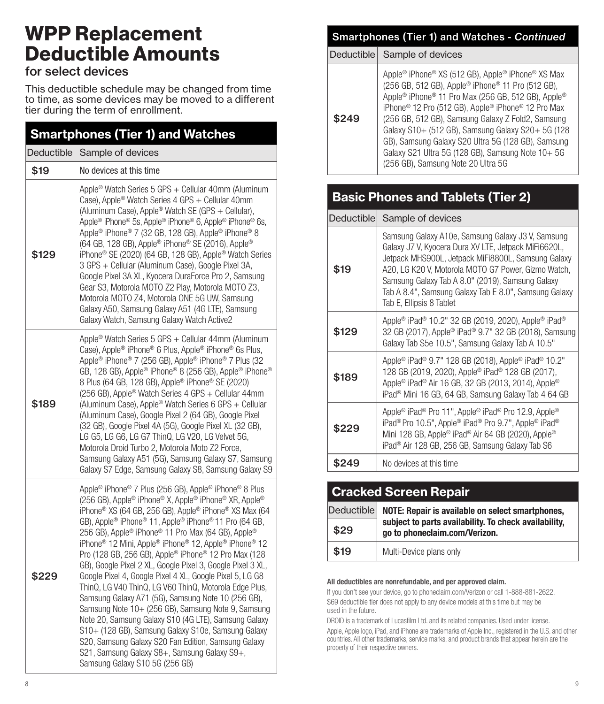# WPP Replacement Deductible Amounts

## for select devices

This deductible schedule may be changed from time to time, as some devices may be moved to a different tier during the term of enrollment.

| <b>Smartphones (Tier 1) and Watches</b> |                                                                                                                                                                                                                                                                                                                                                                                                                                                                                                                                                                                                                                                                                                                                                                                                                                                                                                                                                                                                                                                                                        |  |
|-----------------------------------------|----------------------------------------------------------------------------------------------------------------------------------------------------------------------------------------------------------------------------------------------------------------------------------------------------------------------------------------------------------------------------------------------------------------------------------------------------------------------------------------------------------------------------------------------------------------------------------------------------------------------------------------------------------------------------------------------------------------------------------------------------------------------------------------------------------------------------------------------------------------------------------------------------------------------------------------------------------------------------------------------------------------------------------------------------------------------------------------|--|
| Deductible                              | Sample of devices                                                                                                                                                                                                                                                                                                                                                                                                                                                                                                                                                                                                                                                                                                                                                                                                                                                                                                                                                                                                                                                                      |  |
| \$19                                    | No devices at this time                                                                                                                                                                                                                                                                                                                                                                                                                                                                                                                                                                                                                                                                                                                                                                                                                                                                                                                                                                                                                                                                |  |
| \$129                                   | Apple <sup>®</sup> Watch Series 5 GPS + Cellular 40mm (Aluminum<br>Case), Apple <sup>®</sup> Watch Series 4 GPS + Cellular 40mm<br>(Aluminum Case), Apple® Watch SE (GPS + Cellular),<br>Apple <sup>®</sup> iPhone <sup>®</sup> 5s, Apple® iPhone® 6, Apple® iPhone® 6s,<br>Apple <sup>®</sup> iPhone <sup>®</sup> 7 (32 GB, 128 GB), Apple® iPhone® 8<br>(64 GB, 128 GB), Apple <sup>®</sup> iPhone® SE (2016), Apple®<br>iPhone <sup>®</sup> SE (2020) (64 GB, 128 GB), Apple® Watch Series<br>3 GPS + Cellular (Aluminum Case), Google Pixel 3A,<br>Google Pixel 3A XL, Kyocera DuraForce Pro 2, Samsung<br>Gear S3, Motorola MOTO Z2 Play, Motorola MOTO Z3,<br>Motorola MOTO Z4, Motorola ONE 5G UW, Samsung<br>Galaxy A50, Samsung Galaxy A51 (4G LTE), Samsung<br>Galaxy Watch, Samsung Galaxy Watch Active2                                                                                                                                                                                                                                                                    |  |
| \$189                                   | Apple <sup>®</sup> Watch Series 5 GPS + Cellular 44mm (Aluminum<br>Case), Apple® iPhone® 6 Plus, Apple® iPhone® 6s Plus,<br>Apple <sup>®</sup> iPhone <sup>®</sup> 7 (256 GB), Apple® iPhone® 7 Plus (32<br>GB, 128 GB), Apple® iPhone® 8 (256 GB), Apple® iPhone®<br>8 Plus (64 GB, 128 GB), Apple® iPhone® SE (2020)<br>(256 GB), Apple® Watch Series 4 GPS + Cellular 44mm<br>(Aluminum Case), Apple® Watch Series 6 GPS + Cellular<br>(Aluminum Case), Google Pixel 2 (64 GB), Google Pixel<br>(32 GB), Google Pixel 4A (5G), Google Pixel XL (32 GB),<br>LG G5, LG G6, LG G7 ThinQ, LG V20, LG Velvet 5G,<br>Motorola Droid Turbo 2, Motorola Moto Z2 Force,<br>Samsung Galaxy A51 (5G), Samsung Galaxy S7, Samsung<br>Galaxy S7 Edge, Samsung Galaxy S8, Samsung Galaxy S9                                                                                                                                                                                                                                                                                                       |  |
| \$229                                   | Apple <sup>®</sup> iPhone® 7 Plus (256 GB), Apple® iPhone® 8 Plus<br>(256 GB), Apple® iPhone® X, Apple® iPhone® XR, Apple®<br>iPhone <sup>®</sup> XS (64 GB, 256 GB), Apple <sup>®</sup> iPhone <sup>®</sup> XS Max (64<br>GB), Apple <sup>®</sup> iPhone <sup>®</sup> 11, Apple® iPhone® 11 Pro (64 GB,<br>256 GB), Apple <sup>®</sup> iPhone <sup>®</sup> 11 Pro Max (64 GB), Apple®<br>iPhone <sup>®</sup> 12 Mini, Apple® iPhone® 12, Apple® iPhone® 12<br>Pro (128 GB, 256 GB), Apple <sup>®</sup> iPhone® 12 Pro Max (128<br>GB), Google Pixel 2 XL, Google Pixel 3, Google Pixel 3 XL,<br>Google Pixel 4, Google Pixel 4 XL, Google Pixel 5, LG G8<br>ThinQ, LG V40 ThinQ, LG V60 ThinQ, Motorola Edge Plus,<br>Samsung Galaxy A71 (5G), Samsung Note 10 (256 GB),<br>Samsung Note 10+ (256 GB), Samsung Note 9, Samsung<br>Note 20, Samsung Galaxy S10 (4G LTE), Samsung Galaxy<br>S10+ (128 GB), Samsung Galaxy S10e, Samsung Galaxy<br>S20, Samsung Galaxy S20 Fan Edition, Samsung Galaxy<br>S21, Samsung Galaxy S8+, Samsung Galaxy S9+,<br>Samsung Galaxy S10 5G (256 GB) |  |

#### Smartphones (Tier 1) and Watches - *Continued*

Deductible Sample of devices

## Basic Phones and Tablets (Tier 2)

|       | Deductible Sample of devices                                                                                                                                                                                                                                                                                                                                    |  |
|-------|-----------------------------------------------------------------------------------------------------------------------------------------------------------------------------------------------------------------------------------------------------------------------------------------------------------------------------------------------------------------|--|
| \$19  | Samsung Galaxy A10e, Samsung Galaxy J3 V, Samsung<br>Galaxy J7 V, Kyocera Dura XV LTE, Jetpack MiFi6620L,<br>Jetpack MHS900L, Jetpack MiFi8800L, Samsung Galaxy<br>A20, LG K20 V, Motorola MOTO G7 Power, Gizmo Watch,<br>Samsung Galaxy Tab A 8.0" (2019), Samsung Galaxy<br>Tab A 8.4", Samsung Galaxy Tab E 8.0", Samsung Galaxy<br>Tab E, Ellipsis 8 Tablet |  |
| \$129 | Apple® iPad® 10.2" 32 GB (2019, 2020), Apple® iPad®<br>32 GB (2017), Apple® iPad® 9.7" 32 GB (2018), Samsung<br>Galaxy Tab S5e 10.5", Samsung Galaxy Tab A 10.5"                                                                                                                                                                                                |  |
| \$189 | Apple® iPad® 9.7" 128 GB (2018), Apple® iPad® 10.2"<br>128 GB (2019, 2020), Apple® iPad® 128 GB (2017),<br>Apple <sup>®</sup> iPad <sup>®</sup> Air 16 GB, 32 GB (2013, 2014), Apple <sup>®</sup><br>iPad <sup>®</sup> Mini 16 GB, 64 GB, Samsung Galaxy Tab 4 64 GB                                                                                            |  |
| \$229 | Apple <sup>®</sup> iPad <sup>®</sup> Pro 11", Apple® iPad® Pro 12.9, Apple®<br>iPad <sup>®</sup> Pro 10.5", Apple® iPad® Pro 9.7", Apple® iPad®<br>Mini 128 GB, Apple® iPad® Air 64 GB (2020), Apple®<br>iPad <sup>®</sup> Air 128 GB, 256 GB, Samsung Galaxy Tab S6                                                                                            |  |
| \$249 | No devices at this time                                                                                                                                                                                                                                                                                                                                         |  |

## Cracked Screen Repair Deductible NOTE: Repair is available on select smartphones, subject to parts availability. To check availability,  $$29$  go to phoneclaim.com/Verizon. \$19 | Multi-Device plans only

#### All deductibles are nonrefundable, and per approved claim.

If you don't see your device, go to phoneclaim.com/Verizon or call 1-888-881-2622. \$69 deductible tier does not apply to any device models at this time but may be used in the future.

DROID is a trademark of Lucasfilm Ltd. and its related companies. Used under license. Apple, Apple logo, iPad, and iPhone are trademarks of Apple Inc., registered in the U.S. and other countries. All other trademarks, service marks, and product brands that appear herein are the property of their respective owners.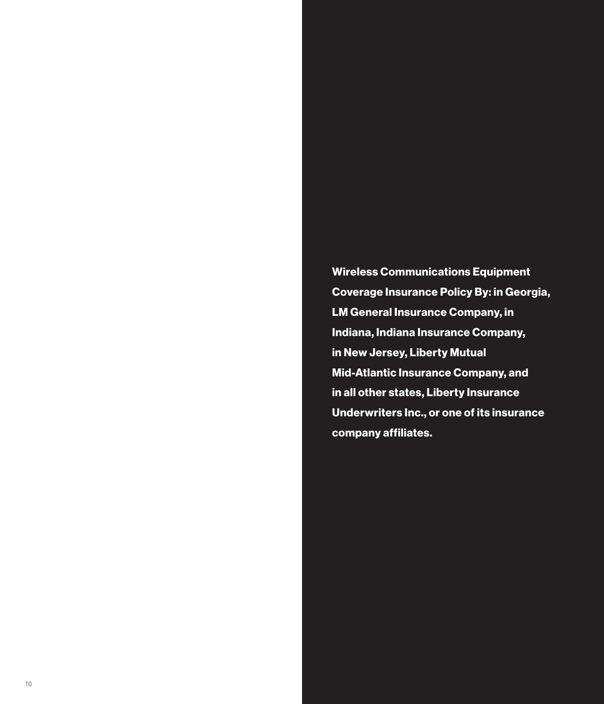Wireless Communications Equipment Coverage Insurance Policy By: in Georgia, LM General Insurance Company, in Indiana, Indiana Insurance Company, in New Jersey, Liberty Mutual Mid-Atlantic Insurance Company, and in all other states, Liberty Insurance Underwriters Inc., or one of its insurance company affiliates.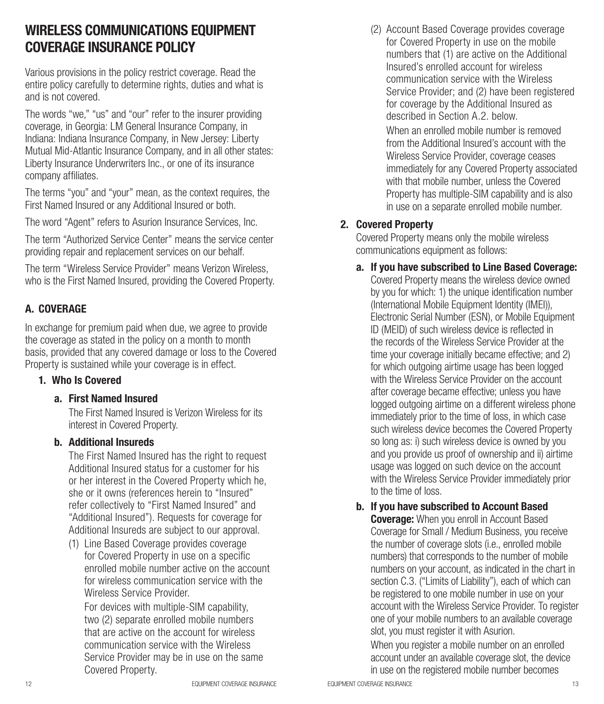## WIRELESS COMMUNICATIONS EQUIPMENT COVERAGE INSURANCE POLICY

Various provisions in the policy restrict coverage. Read the entire policy carefully to determine rights, duties and what is and is not covered.

The words "we," "us" and "our" refer to the insurer providing coverage, in Georgia: LM General Insurance Company, in Indiana: Indiana Insurance Company, in New Jersey: Liberty Mutual Mid-Atlantic Insurance Company, and in all other states: Liberty Insurance Underwriters Inc., or one of its insurance company affiliates.

The terms "you" and "your" mean, as the context requires, the First Named Insured or any Additional Insured or both.

The word "Agent" refers to Asurion Insurance Services, Inc.

The term "Authorized Service Center" means the service center providing repair and replacement services on our behalf.

The term "Wireless Service Provider" means Verizon Wireless, who is the First Named Insured, providing the Covered Property.

#### A. COVERAGE

In exchange for premium paid when due, we agree to provide the coverage as stated in the policy on a month to month basis, provided that any covered damage or loss to the Covered Property is sustained while your coverage is in effect.

#### 1. Who Is Covered

#### a. First Named Insured

The First Named Insured is Verizon Wireless for its interest in Covered Property.

#### b. Additional Insureds

The First Named Insured has the right to request Additional Insured status for a customer for his or her interest in the Covered Property which he, she or it owns (references herein to "Insured" refer collectively to "First Named Insured" and "Additional Insured"). Requests for coverage for Additional Insureds are subject to our approval.

(1) Line Based Coverage provides coverage for Covered Property in use on a specific enrolled mobile number active on the account for wireless communication service with the Wireless Service Provider.

For devices with multiple-SIM capability, two (2) separate enrolled mobile numbers that are active on the account for wireless communication service with the Wireless Service Provider may be in use on the same Covered Property.

(2) Account Based Coverage provides coverage for Covered Property in use on the mobile numbers that (1) are active on the Additional Insured's enrolled account for wireless communication service with the Wireless Service Provider; and (2) have been registered for coverage by the Additional Insured as described in Section A.2. below

When an enrolled mobile number is removed from the Additional Insured's account with the Wireless Service Provider, coverage ceases immediately for any Covered Property associated with that mobile number, unless the Covered Property has multiple-SIM capability and is also in use on a separate enrolled mobile number.

#### 2. Covered Property

Covered Property means only the mobile wireless communications equipment as follows:

a. If you have subscribed to Line Based Coverage:

Covered Property means the wireless device owned by you for which: 1) the unique identification number (International Mobile Equipment Identity (IMEI)), Electronic Serial Number (ESN), or Mobile Equipment ID (MEID) of such wireless device is reflected in the records of the Wireless Service Provider at the time your coverage initially became effective; and 2) for which outgoing airtime usage has been logged with the Wireless Service Provider on the account after coverage became effective; unless you have logged outgoing airtime on a different wireless phone immediately prior to the time of loss, in which case such wireless device becomes the Covered Property so long as: i) such wireless device is owned by you and you provide us proof of ownership and ii) airtime usage was logged on such device on the account with the Wireless Service Provider immediately prior to the time of loss.

b. If you have subscribed to Account Based

**Coverage:** When you enroll in Account Based Coverage for Small / Medium Business, you receive the number of coverage slots (i.e., enrolled mobile numbers) that corresponds to the number of mobile numbers on your account, as indicated in the chart in section C.3. ("Limits of Liability"), each of which can be registered to one mobile number in use on your account with the Wireless Service Provider. To register one of your mobile numbers to an available coverage slot, you must register it with Asurion.

When you register a mobile number on an enrolled account under an available coverage slot, the device in use on the registered mobile number becomes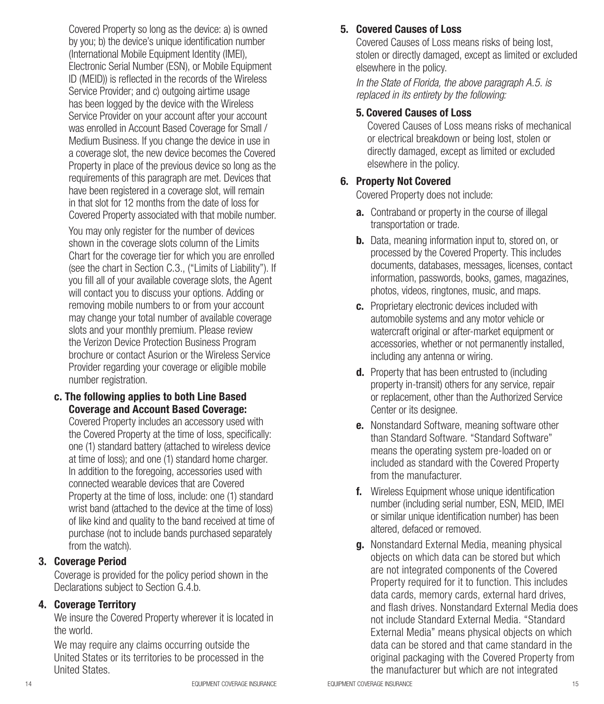Covered Property so long as the device: a) is owned by you; b) the device's unique identification number (International Mobile Equipment Identity (IMEI), Electronic Serial Number (ESN), or Mobile Equipment ID (MEID)) is reflected in the records of the Wireless Service Provider; and c) outgoing airtime usage has been logged by the device with the Wireless Service Provider on your account after your account was enrolled in Account Based Coverage for Small / Medium Business. If you change the device in use in a coverage slot, the new device becomes the Covered Property in place of the previous device so long as the requirements of this paragraph are met. Devices that have been registered in a coverage slot, will remain in that slot for 12 months from the date of loss for Covered Property associated with that mobile number.

You may only register for the number of devices shown in the coverage slots column of the Limits Chart for the coverage tier for which you are enrolled (see the chart in Section C.3., ("Limits of Liability"). If you fill all of your available coverage slots, the Agent will contact you to discuss your options. Adding or removing mobile numbers to or from your account may change your total number of available coverage slots and your monthly premium. Please review the Verizon Device Protection Business Program brochure or contact Asurion or the Wireless Service Provider regarding your coverage or eligible mobile number registration.

#### c. The following applies to both Line Based Coverage and Account Based Coverage:

Covered Property includes an accessory used with the Covered Property at the time of loss, specifically: one (1) standard battery (attached to wireless device at time of loss); and one (1) standard home charger. In addition to the foregoing, accessories used with connected wearable devices that are Covered Property at the time of loss, include: one (1) standard wrist band (attached to the device at the time of loss) of like kind and quality to the band received at time of purchase (not to include bands purchased separately from the watch).

#### 3. Coverage Period

Coverage is provided for the policy period shown in the Declarations subject to Section G.4.b.

#### 4. Coverage Territory

We insure the Covered Property wherever it is located in the world.

We may require any claims occurring outside the United States or its territories to be processed in the United States.

## 5. Covered Causes of Loss

Covered Causes of Loss means risks of being lost, stolen or directly damaged, except as limited or excluded elsewhere in the policy.

*In the State of Florida, the above paragraph A.5. is replaced in its entirety by the following:*

## 5. Covered Causes of Loss

Covered Causes of Loss means risks of mechanical or electrical breakdown or being lost, stolen or directly damaged, except as limited or excluded elsewhere in the policy.

## 6. Property Not Covered

Covered Property does not include:

- **a.** Contraband or property in the course of illegal transportation or trade.
- **b.** Data, meaning information input to, stored on, or processed by the Covered Property. This includes documents, databases, messages, licenses, contact information, passwords, books, games, magazines, photos, videos, ringtones, music, and maps.
- c. Proprietary electronic devices included with automobile systems and any motor vehicle or watercraft original or after-market equipment or accessories, whether or not permanently installed, including any antenna or wiring.
- d. Property that has been entrusted to (including property in-transit) others for any service, repair or replacement, other than the Authorized Service Center or its designee.
- **e.** Nonstandard Software, meaning software other than Standard Software. "Standard Software" means the operating system pre-loaded on or included as standard with the Covered Property from the manufacturer.
- f. Wireless Equipment whose unique identification number (including serial number, ESN, MEID, IMEI or similar unique identification number) has been altered, defaced or removed.
- **g.** Nonstandard External Media, meaning physical objects on which data can be stored but which are not integrated components of the Covered Property required for it to function. This includes data cards, memory cards, external hard drives, and flash drives. Nonstandard External Media does not include Standard External Media. "Standard External Media" means physical objects on which data can be stored and that came standard in the original packaging with the Covered Property from the manufacturer but which are not integrated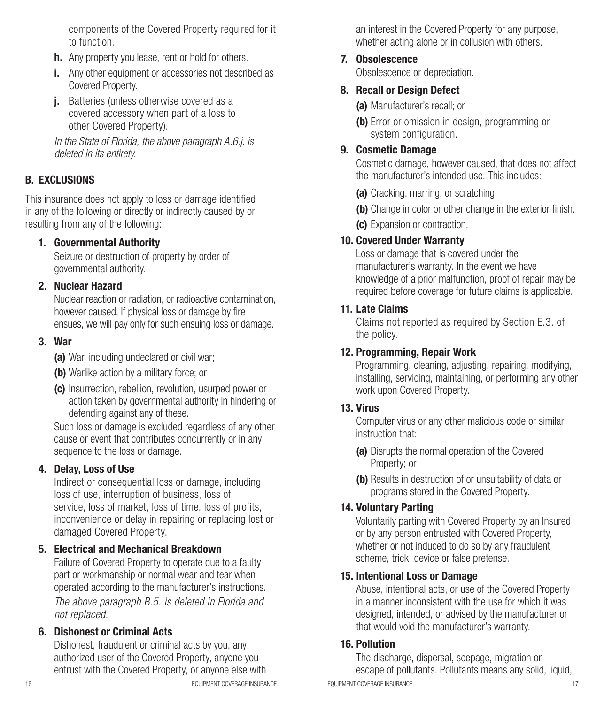components of the Covered Property required for it to function.

- **h.** Any property you lease, rent or hold for others.
- i. Any other equipment or accessories not described as Covered Property.
- **j.** Batteries (unless otherwise covered as a covered accessory when part of a loss to other Covered Property).

*In the State of Florida, the above paragraph A.6.j. is deleted in its entirety.*

#### B. EXCLUSIONS

This insurance does not apply to loss or damage identified in any of the following or directly or indirectly caused by or resulting from any of the following:

#### 1. Governmental Authority

Seizure or destruction of property by order of governmental authority.

#### 2. Nuclear Hazard

Nuclear reaction or radiation, or radioactive contamination, however caused. If physical loss or damage by fire ensues, we will pay only for such ensuing loss or damage.

#### 3. War

(a) War, including undeclared or civil war;

- (b) Warlike action by a military force; or
- (c) Insurrection, rebellion, revolution, usurped power or action taken by governmental authority in hindering or defending against any of these.

Such loss or damage is excluded regardless of any other cause or event that contributes concurrently or in any sequence to the loss or damage.

#### 4. Delay, Loss of Use

Indirect or consequential loss or damage, including loss of use, interruption of business, loss of service, loss of market, loss of time, loss of profits, inconvenience or delay in repairing or replacing lost or damaged Covered Property.

#### 5. Electrical and Mechanical Breakdown

Failure of Covered Property to operate due to a faulty part or workmanship or normal wear and tear when operated according to the manufacturer's instructions.

*The above paragraph B.5. is deleted in Florida and not replaced.*

#### 6. Dishonest or Criminal Acts

Dishonest, fraudulent or criminal acts by you, any authorized user of the Covered Property, anyone you entrust with the Covered Property, or anyone else with

an interest in the Covered Property for any purpose, whether acting alone or in collusion with others.

#### 7. Obsolescence

Obsolescence or depreciation.

#### 8. Recall or Design Defect

(a) Manufacturer's recall; or

(b) Error or omission in design, programming or system configuration.

#### 9. Cosmetic Damage

Cosmetic damage, however caused, that does not affect the manufacturer's intended use. This includes:

- (a) Cracking, marring, or scratching.
- (b) Change in color or other change in the exterior finish.
- (c) Expansion or contraction.

#### 10. Covered Under Warranty

Loss or damage that is covered under the manufacturer's warranty. In the event we have knowledge of a prior malfunction, proof of repair may be required before coverage for future claims is applicable.

#### 11. Late Claims

Claims not reported as required by Section E.3. of the policy.

#### 12. Programming, Repair Work

Programming, cleaning, adjusting, repairing, modifying, installing, servicing, maintaining, or performing any other work upon Covered Property.

#### 13. Virus

Computer virus or any other malicious code or similar instruction that:

- (a) Disrupts the normal operation of the Covered Property; or
- (b) Results in destruction of or unsuitability of data or programs stored in the Covered Property.

#### 14. Voluntary Parting

Voluntarily parting with Covered Property by an Insured or by any person entrusted with Covered Property, whether or not induced to do so by any fraudulent scheme, trick, device or false pretense.

#### 15. Intentional Loss or Damage

Abuse, intentional acts, or use of the Covered Property in a manner inconsistent with the use for which it was designed, intended, or advised by the manufacturer or that would void the manufacturer's warranty.

#### 16. Pollution

16 EQUIPMENT COVERAGE INSURANCE EQUIPMENT COVERAGE INSURANCE 17 The discharge, dispersal, seepage, migration or escape of pollutants. Pollutants means any solid, liquid,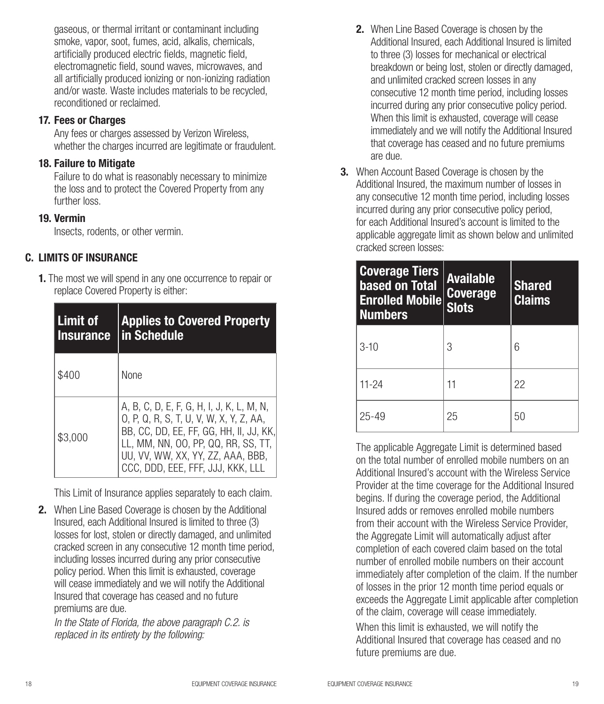gaseous, or thermal irritant or contaminant including smoke, vapor, soot, fumes, acid, alkalis, chemicals, artificially produced electric fields, magnetic field, electromagnetic field, sound waves, microwaves, and all artificially produced ionizing or non-ionizing radiation and/or waste. Waste includes materials to be recycled, reconditioned or reclaimed.

#### 17. Fees or Charges

Any fees or charges assessed by Verizon Wireless, whether the charges incurred are legitimate or fraudulent.

#### 18. Failure to Mitigate

Failure to do what is reasonably necessary to minimize the loss and to protect the Covered Property from any further loss.

#### 19. Vermin

Insects, rodents, or other vermin.

#### C. LIMITS OF INSURANCE

1. The most we will spend in any one occurrence to repair or replace Covered Property is either:

| Limit of<br><b>Insurance</b> | <b>Applies to Covered Property</b><br>in Schedule                                                                                                                                                                                                |  |
|------------------------------|--------------------------------------------------------------------------------------------------------------------------------------------------------------------------------------------------------------------------------------------------|--|
| \$400                        | <b>None</b>                                                                                                                                                                                                                                      |  |
| \$3.000                      | A, B, C, D, E, F, G, H, I, J, K, L, M, N,<br>0, P, Q, R, S, T, U, V, W, X, Y, Z, AA,<br>BB, CC, DD, EE, FF, GG, HH, II, JJ, KK,<br>LL, MM, NN, OO, PP, QQ, RR, SS, TT,<br>UU, VV, WW, XX, YY, ZZ, AAA, BBB,<br>CCC, DDD, EEE, FFF, JJJ, KKK, LLL |  |

This Limit of Insurance applies separately to each claim.

2. When Line Based Coverage is chosen by the Additional Insured, each Additional Insured is limited to three (3) losses for lost, stolen or directly damaged, and unlimited cracked screen in any consecutive 12 month time period, including losses incurred during any prior consecutive policy period. When this limit is exhausted, coverage will cease immediately and we will notify the Additional Insured that coverage has ceased and no future premiums are due.

*In the State of Florida, the above paragraph C.2. is replaced in its entirety by the following:* 

- 2. When Line Based Coverage is chosen by the Additional Insured, each Additional Insured is limited to three (3) losses for mechanical or electrical breakdown or being lost, stolen or directly damaged, and unlimited cracked screen losses in any consecutive 12 month time period, including losses incurred during any prior consecutive policy period. When this limit is exhausted, coverage will cease immediately and we will notify the Additional Insured that coverage has ceased and no future premiums are due.
- 3. When Account Based Coverage is chosen by the Additional Insured, the maximum number of losses in any consecutive 12 month time period, including losses incurred during any prior consecutive policy period, for each Additional Insured's account is limited to the applicable aggregate limit as shown below and unlimited cracked screen losses:

| <b>Coverage Tiers</b><br>based on Total<br><b>Enrolled Mobile</b><br><b>Numbers</b> | <b>Available</b><br><b>Coverage</b><br><b>Slots</b> | <b>Shared</b><br><b>Claims</b> |
|-------------------------------------------------------------------------------------|-----------------------------------------------------|--------------------------------|
| $3-10$                                                                              | 3                                                   | 6                              |
| $11 - 24$                                                                           | 11                                                  | 22                             |
| $25 - 49$                                                                           | 25                                                  | 50                             |

The applicable Aggregate Limit is determined based on the total number of enrolled mobile numbers on an Additional Insured's account with the Wireless Service Provider at the time coverage for the Additional Insured begins. If during the coverage period, the Additional Insured adds or removes enrolled mobile numbers from their account with the Wireless Service Provider, the Aggregate Limit will automatically adjust after completion of each covered claim based on the total number of enrolled mobile numbers on their account immediately after completion of the claim. If the number of losses in the prior 12 month time period equals or exceeds the Aggregate Limit applicable after completion of the claim, coverage will cease immediately.

When this limit is exhausted, we will notify the Additional Insured that coverage has ceased and no future premiums are due.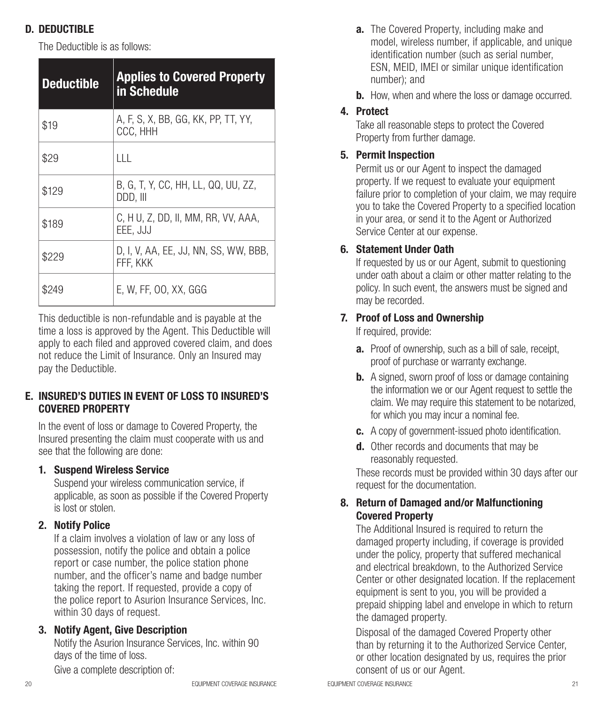## D. DEDUCTIBLE

The Deductible is as follows:

| <b>Deductible</b> | <b>Applies to Covered Property</b><br>in Schedule |
|-------------------|---------------------------------------------------|
| \$19              | A, F, S, X, BB, GG, KK, PP, TT, YY,<br>CCC, HHH   |
| \$29              | ШL                                                |
| \$129             | B, G, T, Y, CC, HH, LL, QQ, UU, ZZ,<br>DDD. III   |
| \$189             | C, H U, Z, DD, II, MM, RR, VV, AAA,<br>EEE, JJJ   |
| \$229             | D, I, V, AA, EE, JJ, NN, SS, WW, BBB,<br>FFF. KKK |
| \$249             | E, W, FF, 00, XX, GGG                             |

This deductible is non-refundable and is payable at the time a loss is approved by the Agent. This Deductible will apply to each filed and approved covered claim, and does not reduce the Limit of Insurance. Only an Insured may pay the Deductible.

#### E. INSURED'S DUTIES IN EVENT OF LOSS TO INSURED'S COVERED PROPERTY

In the event of loss or damage to Covered Property, the Insured presenting the claim must cooperate with us and see that the following are done:

#### 1. Suspend Wireless Service

Suspend your wireless communication service, if applicable, as soon as possible if the Covered Property is lost or stolen.

#### 2. Notify Police

If a claim involves a violation of law or any loss of possession, notify the police and obtain a police report or case number, the police station phone number, and the officer's name and badge number taking the report. If requested, provide a copy of the police report to Asurion Insurance Services, Inc. within 30 days of request.

#### 3. Notify Agent, Give Description

Notify the Asurion Insurance Services, Inc. within 90 days of the time of loss.

Give a complete description of:

- **a.** The Covered Property, including make and model, wireless number, if applicable, and unique identification number (such as serial number, ESN, MEID, IMEI or similar unique identification number); and
- **b.** How, when and where the loss or damage occurred.

## 4. Protect

Take all reasonable steps to protect the Covered Property from further damage.

## 5. Permit Inspection

Permit us or our Agent to inspect the damaged property. If we request to evaluate your equipment failure prior to completion of your claim, we may require you to take the Covered Property to a specified location in your area, or send it to the Agent or Authorized Service Center at our expense.

## 6. Statement Under Oath

If requested by us or our Agent, submit to questioning under oath about a claim or other matter relating to the policy. In such event, the answers must be signed and may be recorded.

## 7. Proof of Loss and Ownership

If required, provide:

- a. Proof of ownership, such as a bill of sale, receipt, proof of purchase or warranty exchange.
- **b.** A signed, sworn proof of loss or damage containing the information we or our Agent request to settle the claim. We may require this statement to be notarized, for which you may incur a nominal fee.
- c. A copy of government-issued photo identification.
- d. Other records and documents that may be reasonably requested.

These records must be provided within 30 days after our request for the documentation.

#### 8. Return of Damaged and/or Malfunctioning Covered Property

The Additional Insured is required to return the damaged property including, if coverage is provided under the policy, property that suffered mechanical and electrical breakdown, to the Authorized Service Center or other designated location. If the replacement equipment is sent to you, you will be provided a prepaid shipping label and envelope in which to return the damaged property.

Disposal of the damaged Covered Property other than by returning it to the Authorized Service Center, or other location designated by us, requires the prior consent of us or our Agent.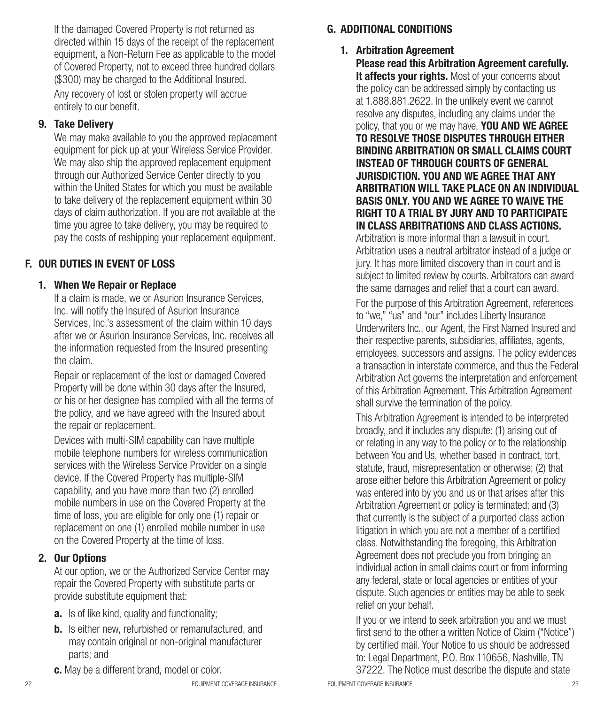If the damaged Covered Property is not returned as directed within 15 days of the receipt of the replacement equipment, a Non-Return Fee as applicable to the model of Covered Property, not to exceed three hundred dollars (\$300) may be charged to the Additional Insured.

Any recovery of lost or stolen property will accrue entirely to our benefit.

#### 9. Take Delivery

We may make available to you the approved replacement equipment for pick up at your Wireless Service Provider. We may also ship the approved replacement equipment through our Authorized Service Center directly to you within the United States for which you must be available to take delivery of the replacement equipment within 30 days of claim authorization. If you are not available at the time you agree to take delivery, you may be required to pay the costs of reshipping your replacement equipment.

#### F. OUR DUTIES IN EVENT OF LOSS

#### 1. When We Repair or Replace

If a claim is made, we or Asurion Insurance Services, Inc. will notify the Insured of Asurion Insurance Services, Inc.'s assessment of the claim within 10 days after we or Asurion Insurance Services, Inc. receives all the information requested from the Insured presenting the claim.

Repair or replacement of the lost or damaged Covered Property will be done within 30 days after the Insured, or his or her designee has complied with all the terms of the policy, and we have agreed with the Insured about the repair or replacement.

Devices with multi-SIM capability can have multiple mobile telephone numbers for wireless communication services with the Wireless Service Provider on a single device. If the Covered Property has multiple-SIM capability, and you have more than two (2) enrolled mobile numbers in use on the Covered Property at the time of loss, you are eligible for only one (1) repair or replacement on one (1) enrolled mobile number in use on the Covered Property at the time of loss.

#### 2. Our Options

At our option, we or the Authorized Service Center may repair the Covered Property with substitute parts or provide substitute equipment that:

- **a.** Is of like kind, quality and functionality;
- **b.** Is either new, refurbished or remanufactured, and may contain original or non-original manufacturer parts; and
- c. May be a different brand, model or color.

#### 1. Arbitration Agreement

Please read this Arbitration Agreement carefully. It affects your rights. Most of your concerns about the policy can be addressed simply by contacting us at 1.888.881.2622. In the unlikely event we cannot resolve any disputes, including any claims under the policy, that you or we may have. YOU AND WE AGREE TO RESOLVE THOSE DISPUTES THROUGH EITHER BINDING ARBITRATION OR SMALL CLAIMS COURT INSTEAD OF THROUGH COURTS OF GENERAL JURISDICTION. YOU AND WE AGREE THAT ANY ARBITRATION WILL TAKE PLACE ON AN INDIVIDUAL BASIS ONLY. YOU AND WE AGREE TO WAIVE THE RIGHT TO A TRIAL BY JURY AND TO PARTICIPATE IN CLASS ARBITRATIONS AND CLASS ACTIONS.

Arbitration is more informal than a lawsuit in court. Arbitration uses a neutral arbitrator instead of a judge or jury. It has more limited discovery than in court and is subject to limited review by courts. Arbitrators can award the same damages and relief that a court can award. For the purpose of this Arbitration Agreement, references to "we," "us" and "our" includes Liberty Insurance Underwriters Inc., our Agent, the First Named Insured and their respective parents, subsidiaries, affiliates, agents, employees, successors and assigns. The policy evidences a transaction in interstate commerce, and thus the Federal Arbitration Act governs the interpretation and enforcement of this Arbitration Agreement. This Arbitration Agreement shall survive the termination of the policy.

This Arbitration Agreement is intended to be interpreted broadly, and it includes any dispute: (1) arising out of or relating in any way to the policy or to the relationship between You and Us, whether based in contract, tort, statute, fraud, misrepresentation or otherwise; (2) that arose either before this Arbitration Agreement or policy was entered into by you and us or that arises after this Arbitration Agreement or policy is terminated; and (3) that currently is the subject of a purported class action litigation in which you are not a member of a certified class. Notwithstanding the foregoing, this Arbitration Agreement does not preclude you from bringing an individual action in small claims court or from informing any federal, state or local agencies or entities of your dispute. Such agencies or entities may be able to seek relief on your behalf.

If you or we intend to seek arbitration you and we must first send to the other a written Notice of Claim ("Notice") by certified mail. Your Notice to us should be addressed to: Legal Department, P.O. Box 110656, Nashville, TN 37222. The Notice must describe the dispute and state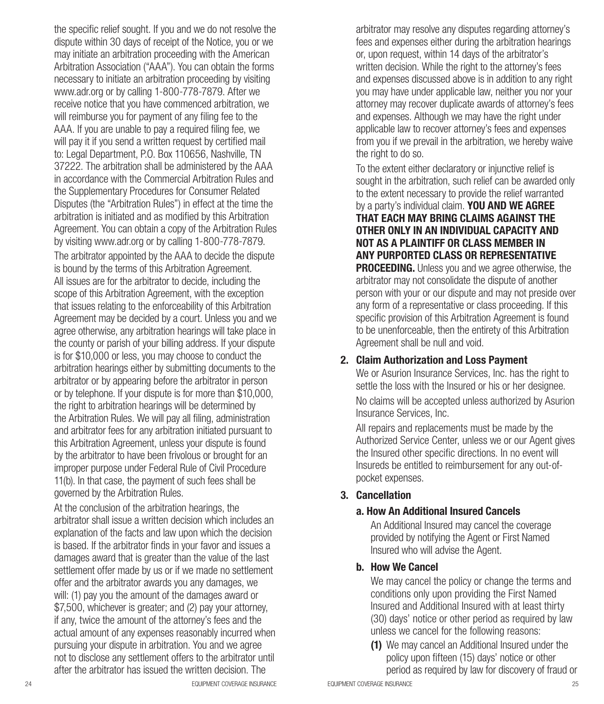the specific relief sought. If you and we do not resolve the dispute within 30 days of receipt of the Notice, you or we may initiate an arbitration proceeding with the American Arbitration Association ("AAA"). You can obtain the forms necessary to initiate an arbitration proceeding by visiting www.adr.org or by calling 1-800-778-7879. After we receive notice that you have commenced arbitration, we will reimburse you for payment of any filing fee to the AAA. If you are unable to pay a required filing fee, we will pay it if you send a written request by certified mail to: Legal Department, P.O. Box 110656, Nashville, TN 37222. The arbitration shall be administered by the AAA in accordance with the Commercial Arbitration Rules and the Supplementary Procedures for Consumer Related Disputes (the "Arbitration Rules") in effect at the time the arbitration is initiated and as modified by this Arbitration Agreement. You can obtain a copy of the Arbitration Rules by visiting www.adr.org or by calling 1-800-778-7879.

The arbitrator appointed by the AAA to decide the dispute is bound by the terms of this Arbitration Agreement. All issues are for the arbitrator to decide, including the scope of this Arbitration Agreement, with the exception that issues relating to the enforceability of this Arbitration Agreement may be decided by a court. Unless you and we agree otherwise, any arbitration hearings will take place in the county or parish of your billing address. If your dispute is for \$10,000 or less, you may choose to conduct the arbitration hearings either by submitting documents to the arbitrator or by appearing before the arbitrator in person or by telephone. If your dispute is for more than \$10,000, the right to arbitration hearings will be determined by the Arbitration Rules. We will pay all filing, administration and arbitrator fees for any arbitration initiated pursuant to this Arbitration Agreement, unless your dispute is found by the arbitrator to have been frivolous or brought for an improper purpose under Federal Rule of Civil Procedure 11(b). In that case, the payment of such fees shall be governed by the Arbitration Rules.

At the conclusion of the arbitration hearings, the arbitrator shall issue a written decision which includes an explanation of the facts and law upon which the decision is based. If the arbitrator finds in your favor and issues a damages award that is greater than the value of the last settlement offer made by us or if we made no settlement offer and the arbitrator awards you any damages, we will: (1) pay you the amount of the damages award or \$7,500, whichever is greater; and (2) pay your attorney, if any, twice the amount of the attorney's fees and the actual amount of any expenses reasonably incurred when pursuing your dispute in arbitration. You and we agree not to disclose any settlement offers to the arbitrator until after the arbitrator has issued the written decision. The

arbitrator may resolve any disputes regarding attorney's fees and expenses either during the arbitration hearings or, upon request, within 14 days of the arbitrator's written decision. While the right to the attorney's fees and expenses discussed above is in addition to any right you may have under applicable law, neither you nor your attorney may recover duplicate awards of attorney's fees and expenses. Although we may have the right under applicable law to recover attorney's fees and expenses from you if we prevail in the arbitration, we hereby waive the right to do so.

To the extent either declaratory or injunctive relief is sought in the arbitration, such relief can be awarded only to the extent necessary to provide the relief warranted by a party's individual claim. YOU AND WE AGREE THAT EACH MAY BRING CLAIMS AGAINST THE OTHER ONLY IN AN INDIVIDUAL CAPACITY AND NOT AS A PLAINTIFF OR CLASS MEMBER IN ANY PURPORTED CLASS OR REPRESENTATIVE **PROCEEDING.** Unless you and we agree otherwise, the arbitrator may not consolidate the dispute of another person with your or our dispute and may not preside over any form of a representative or class proceeding. If this specific provision of this Arbitration Agreement is found to be unenforceable, then the entirety of this Arbitration Agreement shall be null and void.

#### 2. Claim Authorization and Loss Payment

We or Asurion Insurance Services, Inc. has the right to settle the loss with the Insured or his or her designee.

No claims will be accepted unless authorized by Asurion Insurance Services, Inc.

All repairs and replacements must be made by the Authorized Service Center, unless we or our Agent gives the Insured other specific directions. In no event will Insureds be entitled to reimbursement for any out-ofpocket expenses.

#### 3. Cancellation

#### a. How An Additional Insured Cancels

An Additional Insured may cancel the coverage provided by notifying the Agent or First Named Insured who will advise the Agent.

#### b. How We Cancel

We may cancel the policy or change the terms and conditions only upon providing the First Named Insured and Additional Insured with at least thirty (30) days' notice or other period as required by law unless we cancel for the following reasons:

(1) We may cancel an Additional Insured under the policy upon fifteen (15) days' notice or other period as required by law for discovery of fraud or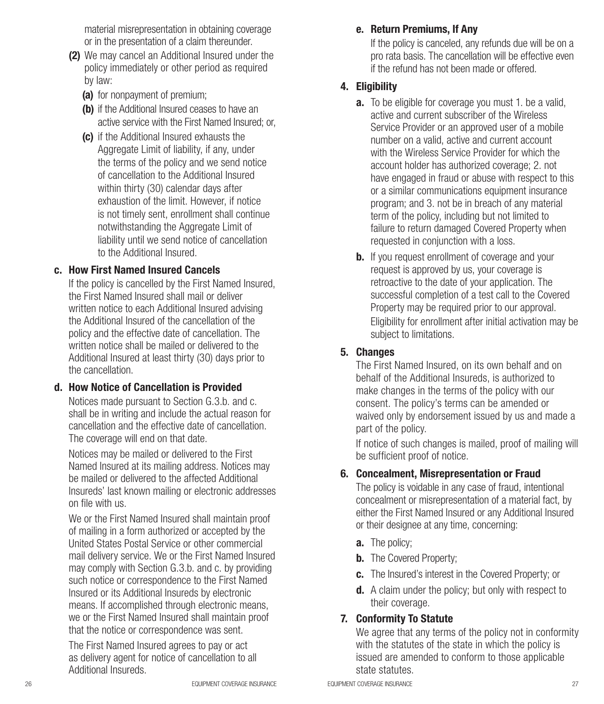material misrepresentation in obtaining coverage or in the presentation of a claim thereunder.

- (2) We may cancel an Additional Insured under the policy immediately or other period as required by law:
	- (a) for nonpayment of premium;
	- (b) if the Additional Insured ceases to have an active service with the First Named Insured; or
	- (c) if the Additional Insured exhausts the Aggregate Limit of liability, if any, under the terms of the policy and we send notice of cancellation to the Additional Insured within thirty (30) calendar days after exhaustion of the limit. However, if notice is not timely sent, enrollment shall continue notwithstanding the Aggregate Limit of liability until we send notice of cancellation to the Additional Insured.

#### c. How First Named Insured Cancels

If the policy is cancelled by the First Named Insured, the First Named Insured shall mail or deliver written notice to each Additional Insured advising the Additional Insured of the cancellation of the policy and the effective date of cancellation. The written notice shall be mailed or delivered to the Additional Insured at least thirty (30) days prior to the cancellation.

#### d. How Notice of Cancellation is Provided

Notices made pursuant to Section G.3.b. and c. shall be in writing and include the actual reason for cancellation and the effective date of cancellation. The coverage will end on that date.

Notices may be mailed or delivered to the First Named Insured at its mailing address. Notices may be mailed or delivered to the affected Additional Insureds' last known mailing or electronic addresses on file with us.

We or the First Named Insured shall maintain proof of mailing in a form authorized or accepted by the United States Postal Service or other commercial mail delivery service. We or the First Named Insured may comply with Section G.3.b. and c. by providing such notice or correspondence to the First Named Insured or its Additional Insureds by electronic means. If accomplished through electronic means, we or the First Named Insured shall maintain proof that the notice or correspondence was sent.

The First Named Insured agrees to pay or act as delivery agent for notice of cancellation to all Additional Insureds.

#### e. Return Premiums, If Any

If the policy is canceled, any refunds due will be on a pro rata basis. The cancellation will be effective even if the refund has not been made or offered.

#### 4. Eligibility

- **a.** To be eligible for coverage you must 1. be a valid, active and current subscriber of the Wireless Service Provider or an approved user of a mobile number on a valid, active and current account with the Wireless Service Provider for which the account holder has authorized coverage; 2. not have engaged in fraud or abuse with respect to this or a similar communications equipment insurance program; and 3. not be in breach of any material term of the policy, including but not limited to failure to return damaged Covered Property when requested in conjunction with a loss.
- **b.** If you request enrollment of coverage and your request is approved by us, your coverage is retroactive to the date of your application. The successful completion of a test call to the Covered Property may be required prior to our approval. Eligibility for enrollment after initial activation may be subject to limitations.

#### 5. Changes

The First Named Insured, on its own behalf and on behalf of the Additional Insureds, is authorized to make changes in the terms of the policy with our consent. The policy's terms can be amended or waived only by endorsement issued by us and made a part of the policy.

If notice of such changes is mailed, proof of mailing will be sufficient proof of notice.

#### 6. Concealment, Misrepresentation or Fraud

The policy is voidable in any case of fraud, intentional concealment or misrepresentation of a material fact, by either the First Named Insured or any Additional Insured or their designee at any time, concerning:

- a. The policy;
- **b.** The Covered Property;
- c. The Insured's interest in the Covered Property; or
- **d.** A claim under the policy; but only with respect to their coverage.

#### 7. Conformity To Statute

We agree that any terms of the policy not in conformity with the statutes of the state in which the policy is issued are amended to conform to those applicable state statutes.

26 **EQUIPMENT COVERAGE INSURANCE COVERAGE INSURANCE EQUIPMENT COVERAGE INSURANCE**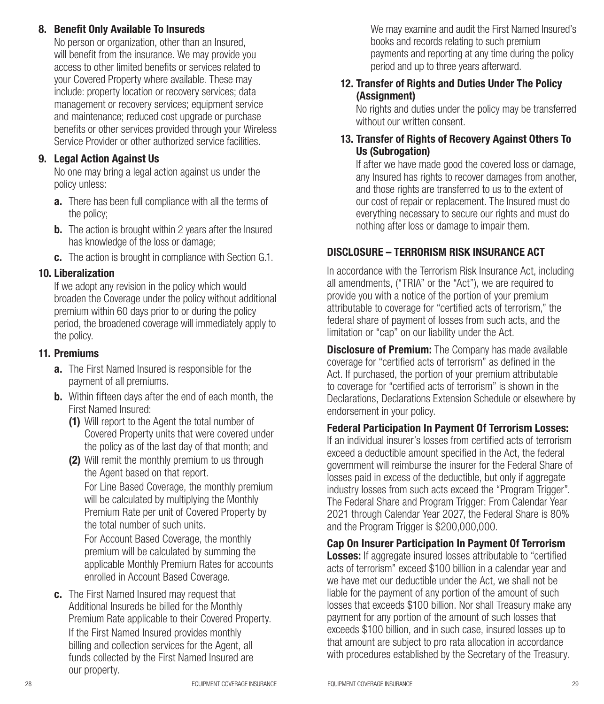#### 8. Benefit Only Available To Insureds

No person or organization, other than an Insured, will benefit from the insurance. We may provide you access to other limited benefits or services related to your Covered Property where available. These may include: property location or recovery services; data management or recovery services; equipment service and maintenance; reduced cost upgrade or purchase benefits or other services provided through your Wireless Service Provider or other authorized service facilities.

#### 9. Legal Action Against Us

No one may bring a legal action against us under the policy unless:

- **a.** There has been full compliance with all the terms of the policy;
- **b.** The action is brought within 2 years after the Insured has knowledge of the loss or damage;
- c. The action is brought in compliance with Section G.1.

#### 10. Liberalization

If we adopt any revision in the policy which would broaden the Coverage under the policy without additional premium within 60 days prior to or during the policy period, the broadened coverage will immediately apply to the policy.

#### 11. Premiums

- **a.** The First Named Insured is responsible for the payment of all premiums.
- **b.** Within fifteen days after the end of each month, the First Named Insured:
	- (1) Will report to the Agent the total number of Covered Property units that were covered under the policy as of the last day of that month; and
	- (2) Will remit the monthly premium to us through the Agent based on that report.

For Line Based Coverage, the monthly premium will be calculated by multiplying the Monthly Premium Rate per unit of Covered Property by the total number of such units.

For Account Based Coverage, the monthly premium will be calculated by summing the applicable Monthly Premium Rates for accounts enrolled in Account Based Coverage.

c. The First Named Insured may request that Additional Insureds be billed for the Monthly Premium Rate applicable to their Covered Property. If the First Named Insured provides monthly billing and collection services for the Agent, all funds collected by the First Named Insured are our property.

We may examine and audit the First Named Insured's books and records relating to such premium payments and reporting at any time during the policy period and up to three years afterward.

#### 12. Transfer of Rights and Duties Under The Policy (Assignment)

No rights and duties under the policy may be transferred without our written consent.

#### 13. Transfer of Rights of Recovery Against Others To Us (Subrogation)

If after we have made good the covered loss or damage, any Insured has rights to recover damages from another, and those rights are transferred to us to the extent of our cost of repair or replacement. The Insured must do everything necessary to secure our rights and must do nothing after loss or damage to impair them.

#### DISCLOSURE – TERRORISM RISK INSURANCE ACT

In accordance with the Terrorism Risk Insurance Act, including all amendments, ("TRIA" or the "Act"), we are required to provide you with a notice of the portion of your premium attributable to coverage for "certified acts of terrorism," the federal share of payment of losses from such acts, and the limitation or "cap" on our liability under the Act.

**Disclosure of Premium:** The Company has made available coverage for "certified acts of terrorism" as defined in the Act. If purchased, the portion of your premium attributable to coverage for "certified acts of terrorism" is shown in the Declarations, Declarations Extension Schedule or elsewhere by endorsement in your policy.

Federal Participation In Payment Of Terrorism Losses: If an individual insurer's losses from certified acts of terrorism exceed a deductible amount specified in the Act, the federal government will reimburse the insurer for the Federal Share of losses paid in excess of the deductible, but only if aggregate industry losses from such acts exceed the "Program Trigger". The Federal Share and Program Trigger: From Calendar Year 2021 through Calendar Year 2027, the Federal Share is 80% and the Program Trigger is \$200,000,000.

Cap On Insurer Participation In Payment Of Terrorism **Losses:** If aggregate insured losses attributable to "certified" acts of terrorism" exceed \$100 billion in a calendar year and we have met our deductible under the Act, we shall not be liable for the payment of any portion of the amount of such losses that exceeds \$100 billion. Nor shall Treasury make any payment for any portion of the amount of such losses that exceeds \$100 billion, and in such case, insured losses up to that amount are subject to pro rata allocation in accordance with procedures established by the Secretary of the Treasury.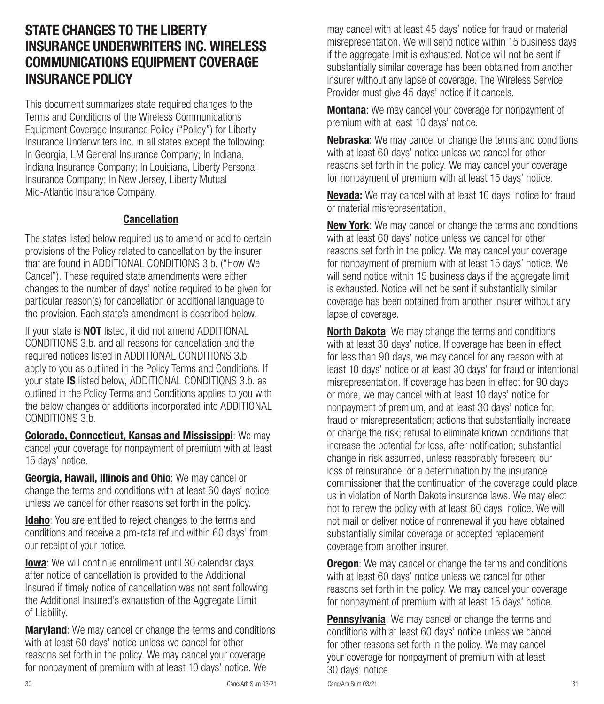## STATE CHANGES TO THE LIBERTY INSURANCE UNDERWRITERS INC. WIRELESS COMMUNICATIONS EQUIPMENT COVERAGE INSURANCE POLICY

This document summarizes state required changes to the Terms and Conditions of the Wireless Communications Equipment Coverage Insurance Policy ("Policy") for Liberty Insurance Underwriters Inc. in all states except the following: In Georgia, LM General Insurance Company; In Indiana, Indiana Insurance Company; In Louisiana, Liberty Personal Insurance Company; In New Jersey, Liberty Mutual Mid-Atlantic Insurance Company.

#### Cancellation

The states listed below required us to amend or add to certain provisions of the Policy related to cancellation by the insurer that are found in ADDITIONAL CONDITIONS 3.b. ("How We Cancel"). These required state amendments were either changes to the number of days' notice required to be given for particular reason(s) for cancellation or additional language to the provision. Each state's amendment is described below.

If your state is **NOT** listed, it did not amend ADDITIONAL CONDITIONS 3.b. and all reasons for cancellation and the required notices listed in ADDITIONAL CONDITIONS 3.b. apply to you as outlined in the Policy Terms and Conditions. If your state IS listed below, ADDITIONAL CONDITIONS 3.b. as outlined in the Policy Terms and Conditions applies to you with the below changes or additions incorporated into ADDITIONAL CONDITIONS 3.b.

Colorado, Connecticut, Kansas and Mississippi: We may cancel your coverage for nonpayment of premium with at least 15 days' notice.

Georgia, Hawaii, Illinois and Ohio: We may cancel or change the terms and conditions with at least 60 days' notice unless we cancel for other reasons set forth in the policy.

**Idaho**: You are entitled to reject changes to the terms and conditions and receive a pro-rata refund within 60 days' from our receipt of your notice.

**Iowa**: We will continue enrollment until 30 calendar days after notice of cancellation is provided to the Additional Insured if timely notice of cancellation was not sent following the Additional Insured's exhaustion of the Aggregate Limit of Liability.

**Maryland**: We may cancel or change the terms and conditions with at least 60 days' notice unless we cancel for other reasons set forth in the policy. We may cancel your coverage for nonpayment of premium with at least 10 days' notice. We

may cancel with at least 45 days' notice for fraud or material misrepresentation. We will send notice within 15 business days if the aggregate limit is exhausted. Notice will not be sent if substantially similar coverage has been obtained from another insurer without any lapse of coverage. The Wireless Service Provider must give 45 days' notice if it cancels.

**Montana**: We may cancel your coverage for nonpayment of premium with at least 10 days' notice.

Nebraska: We may cancel or change the terms and conditions with at least 60 days' notice unless we cancel for other reasons set forth in the policy. We may cancel your coverage for nonpayment of premium with at least 15 days' notice.

Nevada: We may cancel with at least 10 days' notice for fraud or material misrepresentation.

**New York:** We may cancel or change the terms and conditions with at least 60 days' notice unless we cancel for other reasons set forth in the policy. We may cancel your coverage for nonpayment of premium with at least 15 days' notice. We will send notice within 15 business days if the aggregate limit is exhausted. Notice will not be sent if substantially similar coverage has been obtained from another insurer without any lapse of coverage.

North Dakota: We may change the terms and conditions with at least 30 days' notice. If coverage has been in effect for less than 90 days, we may cancel for any reason with at least 10 days' notice or at least 30 days' for fraud or intentional misrepresentation. If coverage has been in effect for 90 days or more, we may cancel with at least 10 days' notice for nonpayment of premium, and at least 30 days' notice for: fraud or misrepresentation; actions that substantially increase or change the risk; refusal to eliminate known conditions that increase the potential for loss, after notification; substantial change in risk assumed, unless reasonably foreseen; our loss of reinsurance; or a determination by the insurance commissioner that the continuation of the coverage could place us in violation of North Dakota insurance laws. We may elect not to renew the policy with at least 60 days' notice. We will not mail or deliver notice of nonrenewal if you have obtained substantially similar coverage or accepted replacement coverage from another insurer.

**Oregon:** We may cancel or change the terms and conditions with at least 60 days' notice unless we cancel for other reasons set forth in the policy. We may cancel your coverage for nonpayment of premium with at least 15 days' notice.

**Pennsylvania:** We may cancel or change the terms and conditions with at least 60 days' notice unless we cancel for other reasons set forth in the policy. We may cancel your coverage for nonpayment of premium with at least 30 days' notice.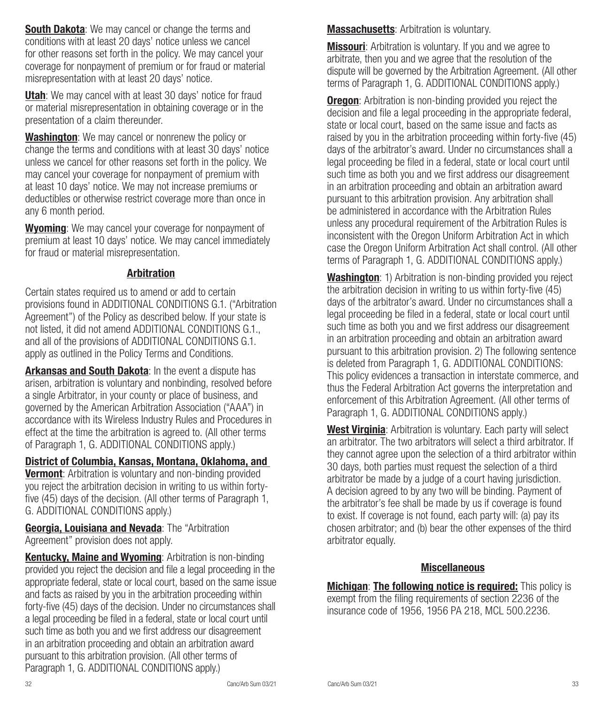**South Dakota:** We may cancel or change the terms and conditions with at least 20 days' notice unless we cancel for other reasons set forth in the policy. We may cancel your coverage for nonpayment of premium or for fraud or material misrepresentation with at least 20 days' notice.

Utah: We may cancel with at least 30 days' notice for fraud or material misrepresentation in obtaining coverage or in the presentation of a claim thereunder.

Washington: We may cancel or nonrenew the policy or change the terms and conditions with at least 30 days' notice unless we cancel for other reasons set forth in the policy. We may cancel your coverage for nonpayment of premium with at least 10 days' notice. We may not increase premiums or deductibles or otherwise restrict coverage more than once in any 6 month period.

Wyoming: We may cancel your coverage for nonpayment of premium at least 10 days' notice. We may cancel immediately for fraud or material misrepresentation.

#### Arbitration

Certain states required us to amend or add to certain provisions found in ADDITIONAL CONDITIONS G.1. ("Arbitration Agreement") of the Policy as described below. If your state is not listed, it did not amend ADDITIONAL CONDITIONS G.1., and all of the provisions of ADDITIONAL CONDITIONS G.1. apply as outlined in the Policy Terms and Conditions.

Arkansas and South Dakota: In the event a dispute has arisen, arbitration is voluntary and nonbinding, resolved before a single Arbitrator, in your county or place of business, and governed by the American Arbitration Association ("AAA") in accordance with its Wireless Industry Rules and Procedures in effect at the time the arbitration is agreed to. (All other terms of Paragraph 1, G. ADDITIONAL CONDITIONS apply.)

District of Columbia, Kansas, Montana, Oklahoma, and

**Vermont:** Arbitration is voluntary and non-binding provided you reject the arbitration decision in writing to us within fortyfive (45) days of the decision. (All other terms of Paragraph 1, G. ADDITIONAL CONDITIONS apply.)

Georgia, Louisiana and Nevada: The "Arbitration" Agreement" provision does not apply.

Kentucky, Maine and Wyoming: Arbitration is non-binding provided you reject the decision and file a legal proceeding in the appropriate federal, state or local court, based on the same issue and facts as raised by you in the arbitration proceeding within forty-five (45) days of the decision. Under no circumstances shall a legal proceeding be filed in a federal, state or local court until such time as both you and we first address our disagreement in an arbitration proceeding and obtain an arbitration award pursuant to this arbitration provision. (All other terms of Paragraph 1, G. ADDITIONAL CONDITIONS apply.)

**Massachusetts:** Arbitration is voluntary.

**Missouri:** Arbitration is voluntary. If you and we agree to arbitrate, then you and we agree that the resolution of the dispute will be governed by the Arbitration Agreement. (All other terms of Paragraph 1, G. ADDITIONAL CONDITIONS apply.)

**Oregon:** Arbitration is non-binding provided you reject the decision and file a legal proceeding in the appropriate federal, state or local court, based on the same issue and facts as raised by you in the arbitration proceeding within forty-five (45) days of the arbitrator's award. Under no circumstances shall a legal proceeding be filed in a federal, state or local court until such time as both you and we first address our disagreement in an arbitration proceeding and obtain an arbitration award pursuant to this arbitration provision. Any arbitration shall be administered in accordance with the Arbitration Rules unless any procedural requirement of the Arbitration Rules is inconsistent with the Oregon Uniform Arbitration Act in which case the Oregon Uniform Arbitration Act shall control. (All other terms of Paragraph 1, G. ADDITIONAL CONDITIONS apply.)

Washington: 1) Arbitration is non-binding provided you reject the arbitration decision in writing to us within forty-five (45) days of the arbitrator's award. Under no circumstances shall a legal proceeding be filed in a federal, state or local court until such time as both you and we first address our disagreement in an arbitration proceeding and obtain an arbitration award pursuant to this arbitration provision. 2) The following sentence is deleted from Paragraph 1, G. ADDITIONAL CONDITIONS: This policy evidences a transaction in interstate commerce, and thus the Federal Arbitration Act governs the interpretation and enforcement of this Arbitration Agreement. (All other terms of Paragraph 1, G. ADDITIONAL CONDITIONS apply.)

West Virginia: Arbitration is voluntary. Each party will select an arbitrator. The two arbitrators will select a third arbitrator. If they cannot agree upon the selection of a third arbitrator within 30 days, both parties must request the selection of a third arbitrator be made by a judge of a court having jurisdiction. A decision agreed to by any two will be binding. Payment of the arbitrator's fee shall be made by us if coverage is found to exist. If coverage is not found, each party will: (a) pay its chosen arbitrator; and (b) bear the other expenses of the third arbitrator equally.

#### **Miscellaneous**

**Michigan: The following notice is required:** This policy is exempt from the filing requirements of section 2236 of the insurance code of 1956, 1956 PA 218, MCL 500.2236.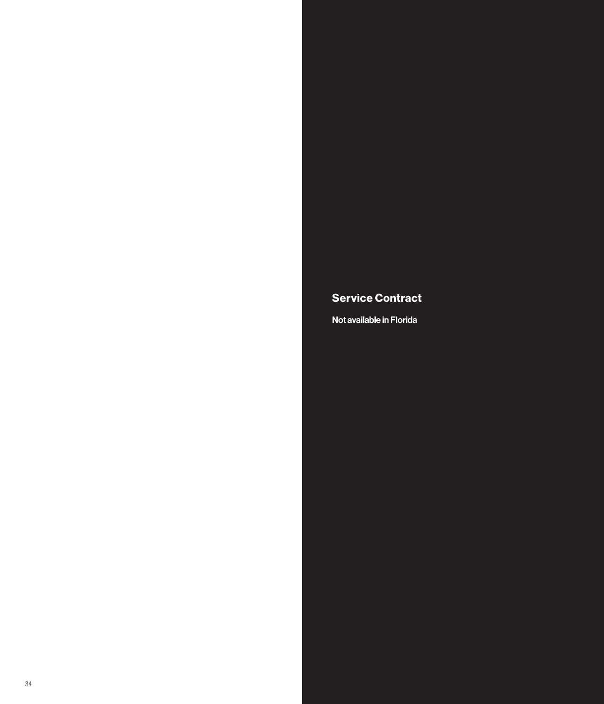#### Service Contract

Not available in Florida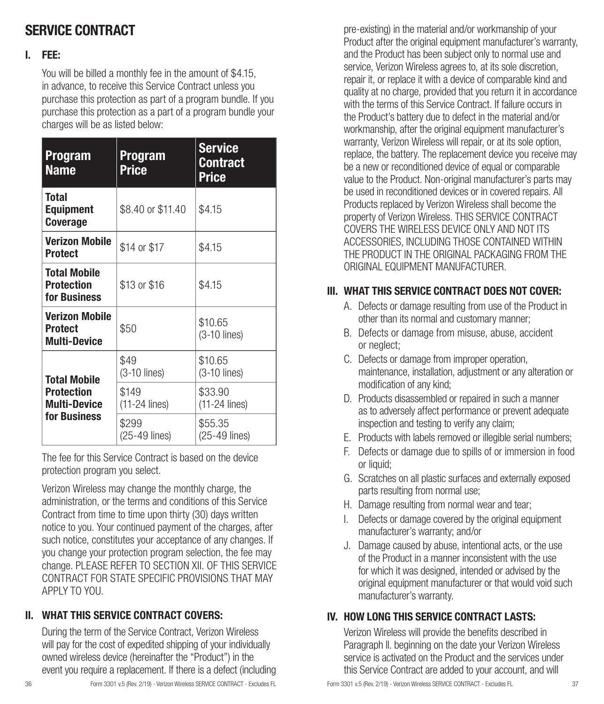## SERVICE CONTRACT

#### I. FEE:

You will be billed a monthly fee in the amount of \$4.15, in advance, to receive this Service Contract unless you purchase this protection as part of a program bundle. If you purchase this protection as a part of a program bundle your charges will be as listed below:

| <b>Program</b><br><b>Name</b>                                                   | <b>Program</b><br><b>Price</b> | <b>Service</b><br><b>Contract</b><br><b>Price</b> |
|---------------------------------------------------------------------------------|--------------------------------|---------------------------------------------------|
| Total<br><b>Equipment</b><br><b>Coverage</b>                                    | \$8.40 or \$11.40              | \$4.15                                            |
| <b>Verizon Mobile</b><br><b>Protect</b>                                         | \$14 or \$17                   | \$4.15                                            |
| <b>Total Mobile</b><br><b>Protection</b><br>for Business                        | \$13 or \$16                   | \$4.15                                            |
| <b>Verizon Mobile</b><br><b>Protect</b><br><b>Multi-Device</b>                  | \$50                           | \$10.65<br>$(3-10$ lines)                         |
| <b>Total Mobile</b><br><b>Protection</b><br><b>Multi-Device</b><br>for Business | \$49<br>$(3-10$ lines)         | \$10.65<br>$(3-10$ lines)                         |
|                                                                                 | \$149<br>(11-24 lines)         | \$33.90<br>$(11-24$ lines)                        |
|                                                                                 | \$299<br>$(25-49$ lines)       | \$55.35<br>$(25-49$ lines)                        |

The fee for this Service Contract is based on the device protection program you select.

Verizon Wireless may change the monthly charge, the administration, or the terms and conditions of this Service Contract from time to time upon thirty (30) days written notice to you. Your continued payment of the charges, after such notice, constitutes your acceptance of any changes. If you change your protection program selection, the fee may change. PLEASE REFER TO SECTION XII. OF THIS SERVICE CONTRACT FOR STATE SPECIFIC PROVISIONS THAT MAY APPLY TO YOU.

#### II. WHAT THIS SERVICE CONTRACT COVERS:

During the term of the Service Contract, Verizon Wireless will pay for the cost of expedited shipping of your individually owned wireless device (hereinafter the "Product") in the event you require a replacement. If there is a defect (including pre-existing) in the material and/or workmanship of your Product after the original equipment manufacturer's warranty, and the Product has been subject only to normal use and service, Verizon Wireless agrees to, at its sole discretion, repair it, or replace it with a device of comparable kind and quality at no charge, provided that you return it in accordance with the terms of this Service Contract. If failure occurs in the Product's battery due to defect in the material and/or workmanship, after the original equipment manufacturer's warranty, Verizon Wireless will repair, or at its sole option, replace, the battery. The replacement device you receive may be a new or reconditioned device of equal or comparable value to the Product. Non-original manufacturer's parts may be used in reconditioned devices or in covered repairs. All Products replaced by Verizon Wireless shall become the property of Verizon Wireless. THIS SERVICE CONTRACT COVERS THE WIRELESS DEVICE ONLY AND NOT ITS ACCESSORIES, INCLUDING THOSE CONTAINED WITHIN THE PRODUCT IN THE ORIGINAL PACKAGING FROM THE ORIGINAL EQUIPMENT MANUFACTURER.

#### III. WHAT THIS SERVICE CONTRACT DOES NOT COVER:

- A. Defects or damage resulting from use of the Product in other than its normal and customary manner;
- B. Defects or damage from misuse, abuse, accident or neglect;
- C. Defects or damage from improper operation, maintenance, installation, adjustment or any alteration or modification of any kind;
- D. Products disassembled or repaired in such a manner as to adversely affect performance or prevent adequate inspection and testing to verify any claim;
- E. Products with labels removed or illegible serial numbers;
- F. Defects or damage due to spills of or immersion in food or liquid:
- G. Scratches on all plastic surfaces and externally exposed parts resulting from normal use;
- H. Damage resulting from normal wear and tear;
- I. Defects or damage covered by the original equipment manufacturer's warranty; and/or
- J. Damage caused by abuse, intentional acts, or the use of the Product in a manner inconsistent with the use for which it was designed, intended or advised by the original equipment manufacturer or that would void such manufacturer's warranty.

#### IV. HOW LONG THIS SERVICE CONTRACT LASTS:

Verizon Wireless will provide the benefits described in Paragraph ll. beginning on the date your Verizon Wireless service is activated on the Product and the services under this Service Contract are added to your account, and will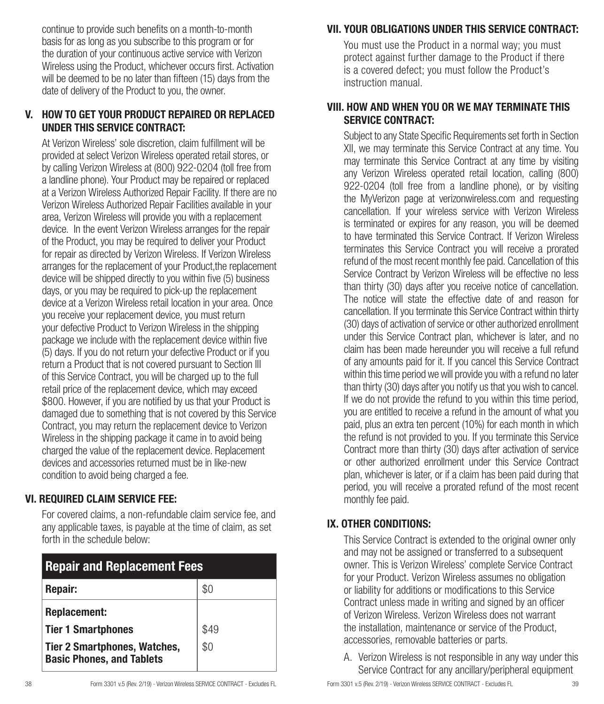continue to provide such benefits on a month-to-month basis for as long as you subscribe to this program or for the duration of your continuous active service with Verizon Wireless using the Product, whichever occurs first. Activation will be deemed to be no later than fifteen (15) days from the date of delivery of the Product to you, the owner.

#### V. HOW TO GET YOUR PRODUCT REPAIRED OR REPLACED UNDER THIS SERVICE CONTRACT:

At Verizon Wireless' sole discretion, claim fulfillment will be provided at select Verizon Wireless operated retail stores, or by calling Verizon Wireless at (800) 922-0204 (toll free from a landline phone). Your Product may be repaired or replaced at a Verizon Wireless Authorized Repair Facility. If there are no Verizon Wireless Authorized Repair Facilities available in your area, Verizon Wireless will provide you with a replacement device. In the event Verizon Wireless arranges for the repair of the Product, you may be required to deliver your Product for repair as directed by Verizon Wireless. If Verizon Wireless arranges for the replacement of your Product,the replacement device will be shipped directly to you within five (5) business days, or you may be required to pick-up the replacement device at a Verizon Wireless retail location in your area. Once you receive your replacement device, you must return your defective Product to Verizon Wireless in the shipping package we include with the replacement device within five (5) days. If you do not return your defective Product or if you return a Product that is not covered pursuant to Section III of this Service Contract, you will be charged up to the full retail price of the replacement device, which may exceed \$800. However, if you are notified by us that your Product is damaged due to something that is not covered by this Service Contract, you may return the replacement device to Verizon Wireless in the shipping package it came in to avoid being charged the value of the replacement device. Replacement devices and accessories returned must be in like-new condition to avoid being charged a fee.

#### VI. REQUIRED CLAIM SERVICE FEE:

For covered claims, a non-refundable claim service fee, and any applicable taxes, is payable at the time of claim, as set forth in the schedule below:

| <b>Repair and Replacement Fees</b>                                      |      |  |
|-------------------------------------------------------------------------|------|--|
| Repair:                                                                 | \$0  |  |
| <b>Replacement:</b>                                                     |      |  |
| <b>Tier 1 Smartphones</b>                                               | \$49 |  |
| <b>Tier 2 Smartphones, Watches,</b><br><b>Basic Phones, and Tablets</b> | \$0  |  |

## VII. YOUR OBLIGATIONS UNDER THIS SERVICE CONTRACT:

You must use the Product in a normal way; you must protect against further damage to the Product if there is a covered defect; you must follow the Product's instruction manual.

#### VIII. HOW AND WHEN YOU OR WE MAY TERMINATE THIS SERVICE CONTRACT:

Subject to any State Specific Requirements set forth in Section XII, we may terminate this Service Contract at any time. You may terminate this Service Contract at any time by visiting any Verizon Wireless operated retail location, calling (800) 922-0204 (toll free from a landline phone), or by visiting the MyVerizon page at verizonwireless.com and requesting cancellation. If your wireless service with Verizon Wireless is terminated or expires for any reason, you will be deemed to have terminated this Service Contract. If Verizon Wireless terminates this Service Contract you will receive a prorated refund of the most recent monthly fee paid. Cancellation of this Service Contract by Verizon Wireless will be effective no less than thirty (30) days after you receive notice of cancellation. The notice will state the effective date of and reason for cancellation. If you terminate this Service Contract within thirty (30) days of activation of service or other authorized enrollment under this Service Contract plan, whichever is later, and no claim has been made hereunder you will receive a full refund of any amounts paid for it. If you cancel this Service Contract within this time period we will provide you with a refund no later than thirty (30) days after you notify us that you wish to cancel. If we do not provide the refund to you within this time period, you are entitled to receive a refund in the amount of what you paid, plus an extra ten percent (10%) for each month in which the refund is not provided to you. If you terminate this Service Contract more than thirty (30) days after activation of service or other authorized enrollment under this Service Contract plan, whichever is later, or if a claim has been paid during that period, you will receive a prorated refund of the most recent monthly fee paid.

#### IX. OTHER CONDITIONS:

This Service Contract is extended to the original owner only and may not be assigned or transferred to a subsequent owner. This is Verizon Wireless' complete Service Contract for your Product. Verizon Wireless assumes no obligation or liability for additions or modifications to this Service Contract unless made in writing and signed by an officer of Verizon Wireless. Verizon Wireless does not warrant the installation, maintenance or service of the Product accessories, removable batteries or parts.

A. Verizon Wireless is not responsible in any way under this Service Contract for any ancillary/peripheral equipment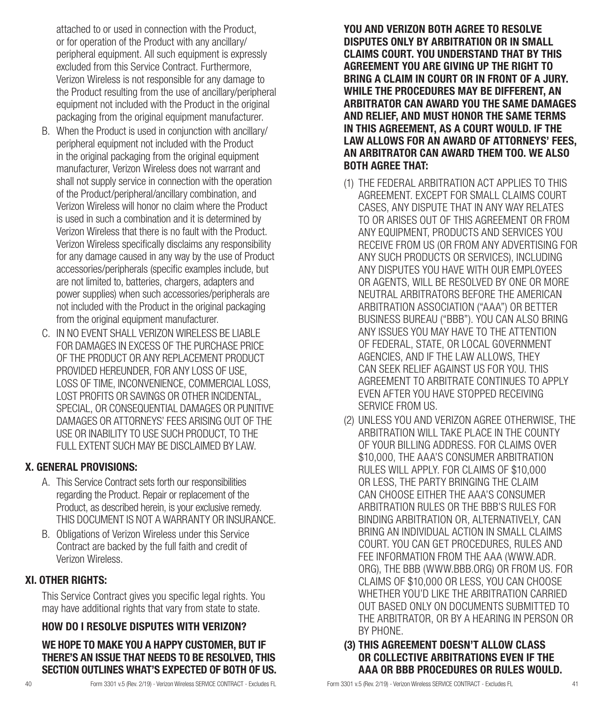attached to or used in connection with the Product, or for operation of the Product with any ancillary/ peripheral equipment. All such equipment is expressly excluded from this Service Contract. Furthermore, Verizon Wireless is not responsible for any damage to the Product resulting from the use of ancillary/peripheral equipment not included with the Product in the original packaging from the original equipment manufacturer.

- B. When the Product is used in conjunction with ancillary/ peripheral equipment not included with the Product in the original packaging from the original equipment manufacturer, Verizon Wireless does not warrant and shall not supply service in connection with the operation of the Product/peripheral/ancillary combination, and Verizon Wireless will honor no claim where the Product is used in such a combination and it is determined by Verizon Wireless that there is no fault with the Product. Verizon Wireless specifically disclaims any responsibility for any damage caused in any way by the use of Product accessories/peripherals (specific examples include, but are not limited to, batteries, chargers, adapters and power supplies) when such accessories/peripherals are not included with the Product in the original packaging from the original equipment manufacturer.
- C. IN NO EVENT SHALL VERIZON WIRELESS BE LIABLE FOR DAMAGES IN EXCESS OF THE PURCHASE PRICE OF THE PRODUCT OR ANY REPLACEMENT PRODUCT PROVIDED HEREUNDER, FOR ANY LOSS OF USE, LOSS OF TIME, INCONVENIENCE, COMMERCIAL LOSS, LOST PROFITS OR SAVINGS OR OTHER INCIDENTAL, SPECIAL, OR CONSEQUENTIAL DAMAGES OR PUNITIVE DAMAGES OR ATTORNEYS' FEES ARISING OUT OF THE USE OR INABILITY TO USE SUCH PRODUCT, TO THE FULL EXTENT SUCH MAY BE DISCLAIMED BY LAW.

#### X. GENERAL PROVISIONS:

- A. This Service Contract sets forth our responsibilities regarding the Product. Repair or replacement of the Product, as described herein, is your exclusive remedy. THIS DOCUMENT IS NOT A WARRANTY OR INSURANCE.
- B. Obligations of Verizon Wireless under this Service Contract are backed by the full faith and credit of Verizon Wireless.

#### XI. OTHER RIGHTS:

This Service Contract gives you specific legal rights. You may have additional rights that vary from state to state.

#### HOW DO I RESOLVE DISPUTES WITH VERIZON?

#### WE HOPE TO MAKE YOU A HAPPY CUSTOMER, BUT IF THERE'S AN ISSUE THAT NEEDS TO BE RESOLVED, THIS SECTION OUTLINES WHAT'S EXPECTED OF BOTH OF US.

YOU AND VERIZON BOTH AGREE TO RESOLVE DISPUTES ONLY BY ARBITRATION OR IN SMALL CLAIMS COURT. YOU UNDERSTAND THAT BY THIS AGREEMENT YOU ARE GIVING UP THE RIGHT TO BRING A CLAIM IN COURT OR IN FRONT OF A JURY. WHILE THE PROCEDURES MAY BE DIFFERENT, AN ARBITRATOR CAN AWARD YOU THE SAME DAMAGES AND RELIEF, AND MUST HONOR THE SAME TERMS IN THIS AGREEMENT, AS A COURT WOULD. IF THE LAW ALLOWS FOR AN AWARD OF ATTORNEYS' FEES, AN ARBITRATOR CAN AWARD THEM TOO. WE ALSO BOTH AGREE THAT:

- (1) THE FEDERAL ARBITRATION ACT APPLIES TO THIS AGREEMENT. EXCEPT FOR SMALL CLAIMS COURT CASES, ANY DISPUTE THAT IN ANY WAY RELATES TO OR ARISES OUT OF THIS AGREEMENT OR FROM ANY EQUIPMENT, PRODUCTS AND SERVICES YOU RECEIVE FROM US (OR FROM ANY ADVERTISING FOR ANY SUCH PRODUCTS OR SERVICES), INCLUDING ANY DISPUTES YOU HAVE WITH OUR EMPLOYEES OR AGENTS, WILL BE RESOLVED BY ONE OR MORE NEUTRAL ARBITRATORS BEFORE THE AMERICAN ARBITRATION ASSOCIATION ("AAA") OR BETTER BUSINESS BUREAU ("BBB"). YOU CAN ALSO BRING ANY ISSUES YOU MAY HAVE TO THE ATTENTION OF FEDERAL, STATE, OR LOCAL GOVERNMENT AGENCIES, AND IF THE LAW ALLOWS, THEY CAN SEEK RELIEF AGAINST US FOR YOU. THIS AGREEMENT TO ARBITRATE CONTINUES TO APPLY EVEN AFTER YOU HAVE STOPPED RECEIVING SERVICE FROM US.
- (2) UNLESS YOU AND VERIZON AGREE OTHERWISE, THE ARBITRATION WILL TAKE PLACE IN THE COUNTY OF YOUR BILLING ADDRESS. FOR CLAIMS OVER \$10,000, THE AAA'S CONSUMER ARBITRATION RULES WILL APPLY. FOR CLAIMS OF \$10,000 OR LESS, THE PARTY BRINGING THE CLAIM CAN CHOOSE EITHER THE AAA'S CONSUMER ARBITRATION RULES OR THE BBB'S RULES FOR BINDING ARBITRATION OR, ALTERNATIVELY, CAN BRING AN INDIVIDUAL ACTION IN SMALL CLAIMS COURT. YOU CAN GET PROCEDURES, RULES AND FEE INFORMATION FROM THE AAA (WWW.ADR. ORG), THE BBB (WWW.BBB.ORG) OR FROM US. FOR CLAIMS OF \$10,000 OR LESS, YOU CAN CHOOSE WHETHER YOU'D LIKE THE ARBITRATION CARRIED OUT BASED ONLY ON DOCUMENTS SUBMITTED TO THE ARBITRATOR, OR BY A HEARING IN PERSON OR BY PHONE.

#### (3) THIS AGREEMENT DOESN'T ALLOW CLASS OR COLLECTIVE ARBITRATIONS EVEN IF THE AAA OR BBB PROCEDURES OR RULES WOULD.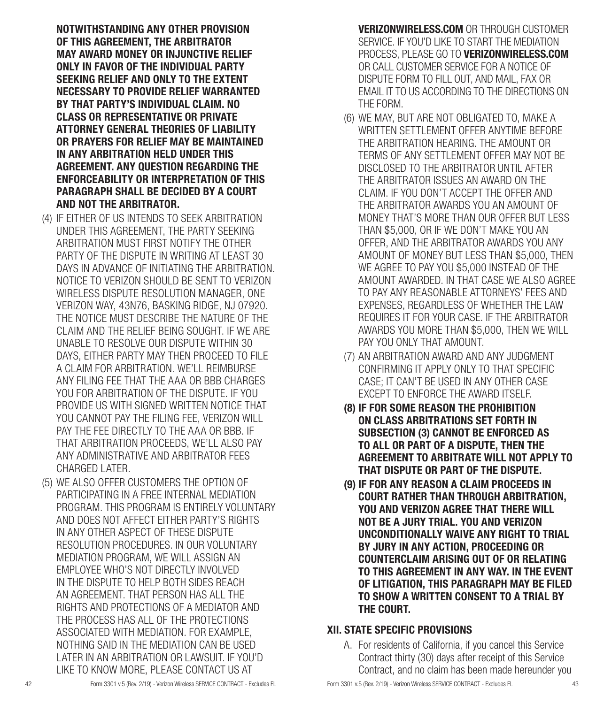NOTWITHSTANDING ANY OTHER PROVISION OF THIS AGREEMENT, THE ARBITRATOR MAY AWARD MONEY OR INJUNCTIVE RELIEF ONLY IN FAVOR OF THE INDIVIDUAL PARTY SEEKING RELIEF AND ONLY TO THE EXTENT NECESSARY TO PROVIDE RELIEF WARRANTED BY THAT PARTY'S INDIVIDUAL CLAIM. NO CLASS OR REPRESENTATIVE OR PRIVATE ATTORNEY GENERAL THEORIES OF LIABILITY OR PRAYERS FOR RELIEF MAY BE MAINTAINED IN ANY ARBITRATION HELD UNDER THIS AGREEMENT. ANY QUESTION REGARDING THE ENFORCEABILITY OR INTERPRETATION OF THIS PARAGRAPH SHALL BE DECIDED BY A COURT AND NOT THE ARBITRATOR.

- (4) IF EITHER OF US INTENDS TO SEEK ARBITRATION UNDER THIS AGREEMENT, THE PARTY SEEKING ARBITRATION MUST FIRST NOTIFY THE OTHER PARTY OF THE DISPUTE IN WRITING AT LEAST 30 DAYS IN ADVANCE OF INITIATING THE ARBITRATION. NOTICE TO VERIZON SHOULD BE SENT TO VERIZON WIRELESS DISPUTE RESOLUTION MANAGER, ONE VERIZON WAY, 43N76, BASKING RIDGE, NJ 07920. THE NOTICE MUST DESCRIBE THE NATURE OF THE CLAIM AND THE RELIEF BEING SOUGHT. IF WE ARE UNABLE TO RESOLVE OUR DISPUTE WITHIN 30 DAYS, EITHER PARTY MAY THEN PROCEED TO FILE A CLAIM FOR ARBITRATION. WE'LL REIMBURSE ANY FILING FEE THAT THE AAA OR BBB CHARGES YOU FOR ARBITRATION OF THE DISPUTE. IF YOU PROVIDE US WITH SIGNED WRITTEN NOTICE THAT YOU CANNOT PAY THE FILING FEE, VERIZON WILL PAY THE FEE DIRECTLY TO THE AAA OR BBB. IF THAT ARBITRATION PROCEEDS, WE'LL ALSO PAY ANY ADMINISTRATIVE AND ARBITRATOR FEES CHARGED LATER.
- (5) WE ALSO OFFER CUSTOMERS THE OPTION OF PARTICIPATING IN A FREE INTERNAL MEDIATION PROGRAM. THIS PROGRAM IS ENTIRELY VOLUNTARY AND DOES NOT AFFECT EITHER PARTY'S RIGHTS IN ANY OTHER ASPECT OF THESE DISPUTE RESOLUTION PROCEDURES. IN OUR VOLUNTARY MEDIATION PROGRAM, WE WILL ASSIGN AN EMPLOYEE WHO'S NOT DIRECTLY INVOLVED IN THE DISPUTE TO HELP BOTH SIDES REACH AN AGREEMENT. THAT PERSON HAS ALL THE RIGHTS AND PROTECTIONS OF A MEDIATOR AND THE PROCESS HAS ALL OF THE PROTECTIONS ASSOCIATED WITH MEDIATION. FOR EXAMPLE, NOTHING SAID IN THE MEDIATION CAN BE USED LATER IN AN ARBITRATION OR LAWSUIT. IF YOU'D LIKE TO KNOW MORE, PLEASE CONTACT US AT

VERIZONWIRELESS.COM OR THROUGH CUSTOMER SERVICE. IF YOU'D LIKE TO START THE MEDIATION PROCESS, PLEASE GO TO VERIZONWIRELESS.COM OR CALL CUSTOMER SERVICE FOR A NOTICE OF DISPUTE FORM TO FILL OUT, AND MAIL, FAX OR EMAIL IT TO US ACCORDING TO THE DIRECTIONS ON THE FORM.

- (6) WE MAY, BUT ARE NOT OBLIGATED TO, MAKE A WRITTEN SETTLEMENT OFFER ANYTIME BEFORE THE ARBITRATION HEARING. THE AMOUNT OR TERMS OF ANY SETTLEMENT OFFER MAY NOT BE DISCLOSED TO THE ARBITRATOR UNTIL AFTER THE ARBITRATOR ISSUES AN AWARD ON THE CLAIM. IF YOU DON'T ACCEPT THE OFFER AND THE ARBITRATOR AWARDS YOU AN AMOUNT OF MONEY THAT'S MORE THAN OUR OFFER BUT LESS THAN \$5,000, OR IF WE DON'T MAKE YOU AN OFFER, AND THE ARBITRATOR AWARDS YOU ANY AMOUNT OF MONEY BUT LESS THAN \$5,000, THEN WE AGREE TO PAY YOU \$5,000 INSTEAD OF THE AMOUNT AWARDED. IN THAT CASE WE ALSO AGREE TO PAY ANY REASONABLE ATTORNEYS' FEES AND EXPENSES, REGARDLESS OF WHETHER THE LAW REQUIRES IT FOR YOUR CASE. IF THE ARBITRATOR AWARDS YOU MORE THAN \$5,000, THEN WE WILL PAY YOU ONLY THAT AMOUNT.
- (7) AN ARBITRATION AWARD AND ANY JUDGMENT CONFIRMING IT APPLY ONLY TO THAT SPECIFIC CASE; IT CAN'T BE USED IN ANY OTHER CASE EXCEPT TO ENFORCE THE AWARD ITSELF.
- (8) IF FOR SOME REASON THE PROHIBITION ON CLASS ARBITRATIONS SET FORTH IN SUBSECTION (3) CANNOT BE ENFORCED AS TO ALL OR PART OF A DISPUTE, THEN THE AGREEMENT TO ARBITRATE WILL NOT APPLY TO THAT DISPUTE OR PART OF THE DISPUTE.
- (9) IF FOR ANY REASON A CLAIM PROCEEDS IN COURT RATHER THAN THROUGH ARBITRATION, YOU AND VERIZON AGREE THAT THERE WILL NOT BE A JURY TRIAL. YOU AND VERIZON UNCONDITIONALLY WAIVE ANY RIGHT TO TRIAL BY JURY IN ANY ACTION, PROCEEDING OR COUNTERCLAIM ARISING OUT OF OR RELATING TO THIS AGREEMENT IN ANY WAY. IN THE EVENT OF LITIGATION, THIS PARAGRAPH MAY BE FILED TO SHOW A WRITTEN CONSENT TO A TRIAL BY THE COURT.

#### XII. STATE SPECIFIC PROVISIONS

A. For residents of California, if you cancel this Service Contract thirty (30) days after receipt of this Service Contract, and no claim has been made hereunder you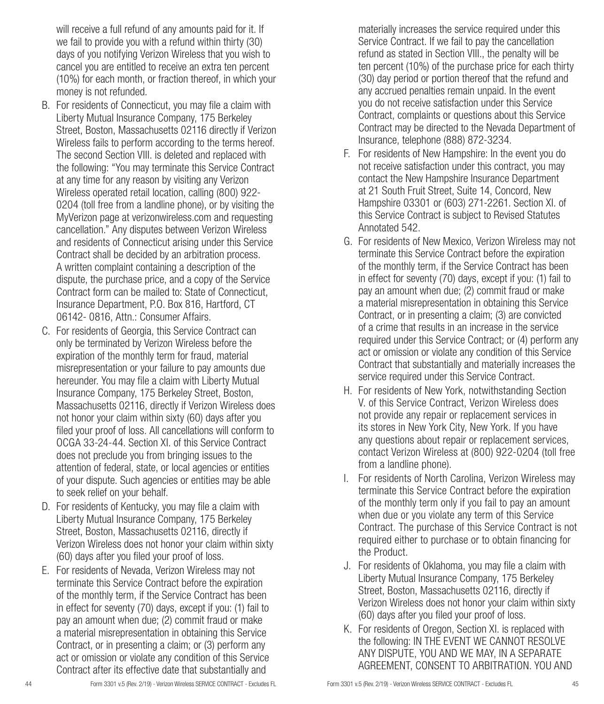will receive a full refund of any amounts paid for it. If we fail to provide you with a refund within thirty (30) days of you notifying Verizon Wireless that you wish to cancel you are entitled to receive an extra ten percent (10%) for each month, or fraction thereof, in which your money is not refunded.

- B. For residents of Connecticut, you may file a claim with Liberty Mutual Insurance Company, 175 Berkeley Street, Boston, Massachusetts 02116 directly if Verizon Wireless fails to perform according to the terms hereof. The second Section VIII. is deleted and replaced with the following: "You may terminate this Service Contract at any time for any reason by visiting any Verizon Wireless operated retail location, calling (800) 922- 0204 (toll free from a landline phone), or by visiting the MyVerizon page at verizonwireless.com and requesting cancellation." Any disputes between Verizon Wireless and residents of Connecticut arising under this Service Contract shall be decided by an arbitration process. A written complaint containing a description of the dispute, the purchase price, and a copy of the Service Contract form can be mailed to: State of Connecticut, Insurance Department, P.O. Box 816, Hartford, CT 06142- 0816, Attn.: Consumer Affairs.
- C. For residents of Georgia, this Service Contract can only be terminated by Verizon Wireless before the expiration of the monthly term for fraud, material misrepresentation or your failure to pay amounts due hereunder. You may file a claim with Liberty Mutual Insurance Company, 175 Berkeley Street, Boston, Massachusetts 02116, directly if Verizon Wireless does not honor your claim within sixty (60) days after you filed your proof of loss. All cancellations will conform to OCGA 33-24-44. Section XI. of this Service Contract does not preclude you from bringing issues to the attention of federal, state, or local agencies or entities of your dispute. Such agencies or entities may be able to seek relief on your behalf.
- D. For residents of Kentucky, you may file a claim with Liberty Mutual Insurance Company, 175 Berkeley Street, Boston, Massachusetts 02116, directly if Verizon Wireless does not honor your claim within sixty (60) days after you filed your proof of loss.
- E. For residents of Nevada, Verizon Wireless may not terminate this Service Contract before the expiration of the monthly term, if the Service Contract has been in effect for seventy (70) days, except if you: (1) fail to pay an amount when due; (2) commit fraud or make a material misrepresentation in obtaining this Service Contract, or in presenting a claim; or (3) perform any act or omission or violate any condition of this Service Contract after its effective date that substantially and

materially increases the service required under this Service Contract. If we fail to pay the cancellation refund as stated in Section VIII., the penalty will be ten percent (10%) of the purchase price for each thirty (30) day period or portion thereof that the refund and any accrued penalties remain unpaid. In the event you do not receive satisfaction under this Service Contract, complaints or questions about this Service Contract may be directed to the Nevada Department of Insurance, telephone (888) 872-3234.

- F. For residents of New Hampshire: In the event you do not receive satisfaction under this contract, you may contact the New Hampshire Insurance Department at 21 South Fruit Street, Suite 14, Concord, New Hampshire 03301 or (603) 271-2261. Section XI. of this Service Contract is subject to Revised Statutes Annotated 542.
- G. For residents of New Mexico, Verizon Wireless may not terminate this Service Contract before the expiration of the monthly term, if the Service Contract has been in effect for seventy (70) days, except if you: (1) fail to pay an amount when due; (2) commit fraud or make a material misrepresentation in obtaining this Service Contract, or in presenting a claim; (3) are convicted of a crime that results in an increase in the service required under this Service Contract; or (4) perform any act or omission or violate any condition of this Service Contract that substantially and materially increases the service required under this Service Contract.
- H. For residents of New York, notwithstanding Section V. of this Service Contract, Verizon Wireless does not provide any repair or replacement services in its stores in New York City, New York. If you have any questions about repair or replacement services, contact Verizon Wireless at (800) 922-0204 (toll free from a landline phone).
- I. For residents of North Carolina, Verizon Wireless may terminate this Service Contract before the expiration of the monthly term only if you fail to pay an amount when due or you violate any term of this Service Contract. The purchase of this Service Contract is not required either to purchase or to obtain financing for the Product.
- J. For residents of Oklahoma, you may file a claim with Liberty Mutual Insurance Company, 175 Berkeley Street, Boston, Massachusetts 02116, directly if Verizon Wireless does not honor your claim within sixty (60) days after you filed your proof of loss.
- K. For residents of Oregon, Section XI. is replaced with the following: IN THE EVENT WE CANNOT RESOLVE ANY DISPUTE, YOU AND WE MAY, IN A SEPARATE AGREEMENT, CONSENT TO ARBITRATION. YOU AND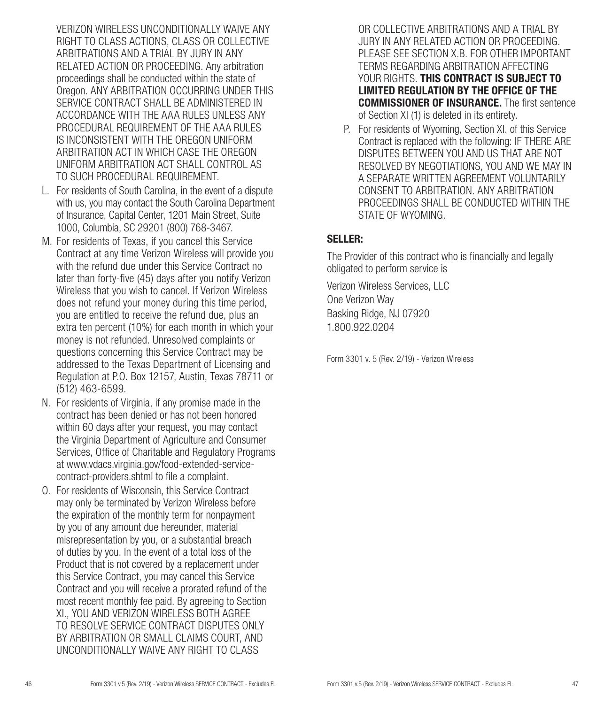VERIZON WIRELESS UNCONDITIONALLY WAIVE ANY RIGHT TO CLASS ACTIONS, CLASS OR COLLECTIVE ARBITRATIONS AND A TRIAL BY JURY IN ANY RELATED ACTION OR PROCEEDING. Any arbitration proceedings shall be conducted within the state of Oregon. ANY ARBITRATION OCCURRING UNDER THIS SERVICE CONTRACT SHALL BE ADMINISTERED IN ACCORDANCE WITH THE AAA RULES UNLESS ANY PROCEDURAL REQUIREMENT OF THE AAA RULES IS INCONSISTENT WITH THE OREGON UNIFORM ARBITRATION ACT IN WHICH CASE THE OREGON UNIFORM ARBITRATION ACT SHALL CONTROL AS TO SUCH PROCEDURAL REQUIREMENT.

- L. For residents of South Carolina, in the event of a dispute with us, you may contact the South Carolina Department of Insurance, Capital Center, 1201 Main Street, Suite 1000, Columbia, SC 29201 (800) 768-3467.
- M. For residents of Texas, if you cancel this Service Contract at any time Verizon Wireless will provide you with the refund due under this Service Contract no later than forty-five (45) days after you notify Verizon Wireless that you wish to cancel. If Verizon Wireless does not refund your money during this time period, you are entitled to receive the refund due, plus an extra ten percent (10%) for each month in which your money is not refunded. Unresolved complaints or questions concerning this Service Contract may be addressed to the Texas Department of Licensing and Regulation at P.O. Box 12157, Austin, Texas 78711 or (512) 463-6599.
- N. For residents of Virginia, if any promise made in the contract has been denied or has not been honored within 60 days after your request, you may contact the Virginia Department of Agriculture and Consumer Services, Office of Charitable and Regulatory Programs at www.vdacs.virginia.gov/food-extended-servicecontract-providers.shtml to file a complaint.
- O. For residents of Wisconsin, this Service Contract may only be terminated by Verizon Wireless before the expiration of the monthly term for nonpayment by you of any amount due hereunder, material misrepresentation by you, or a substantial breach of duties by you. In the event of a total loss of the Product that is not covered by a replacement under this Service Contract, you may cancel this Service Contract and you will receive a prorated refund of the most recent monthly fee paid. By agreeing to Section XI., YOU AND VERIZON WIRELESS BOTH AGREE TO RESOLVE SERVICE CONTRACT DISPUTES ONLY BY ARBITRATION OR SMALL CLAIMS COURT, AND UNCONDITIONALLY WAIVE ANY RIGHT TO CLASS

OR COLLECTIVE ARBITRATIONS AND A TRIAL BY JURY IN ANY RELATED ACTION OR PROCEEDING. PLEASE SEE SECTION X.B. FOR OTHER IMPORTANT TERMS REGARDING ARBITRATION AFFECTING YOUR RIGHTS. THIS CONTRACT IS SUBJECT TO LIMITED REGULATION BY THE OFFICE OF THE COMMISSIONER OF INSURANCE. The first sentence of Section XI (1) is deleted in its entirety.

P. For residents of Wyoming, Section XI. of this Service Contract is replaced with the following: IF THERE ARE DISPUTES BETWEEN YOU AND US THAT ARE NOT RESOLVED BY NEGOTIATIONS, YOU AND WE MAY IN A SEPARATE WRITTEN AGREEMENT VOLUNTARILY CONSENT TO ARBITRATION. ANY ARBITRATION PROCEEDINGS SHALL BE CONDUCTED WITHIN THE STATE OF WYOMING.

#### SELLER:

The Provider of this contract who is financially and legally obligated to perform service is

Verizon Wireless Services, LLC One Verizon Way Basking Ridge, NJ 07920 1.800.922.0204

Form 3301 v. 5 (Rev. 2/19) - Verizon Wireless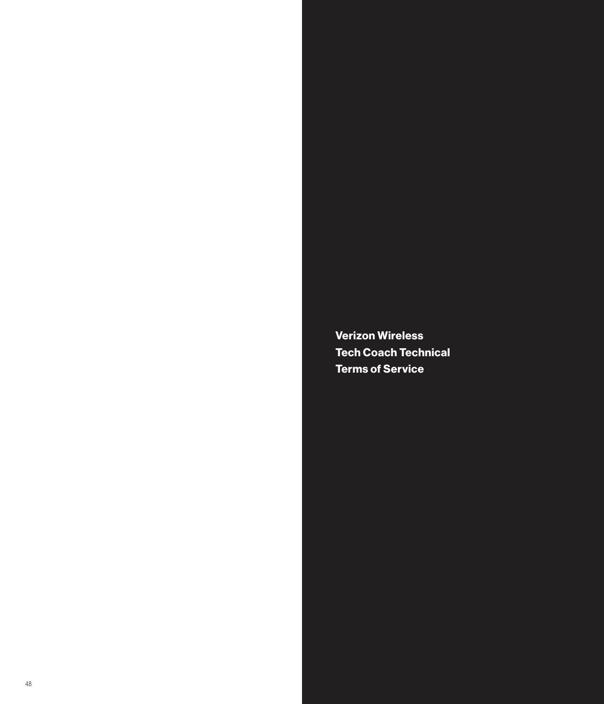Verizon Wireless Tech Coach Technical Terms of Service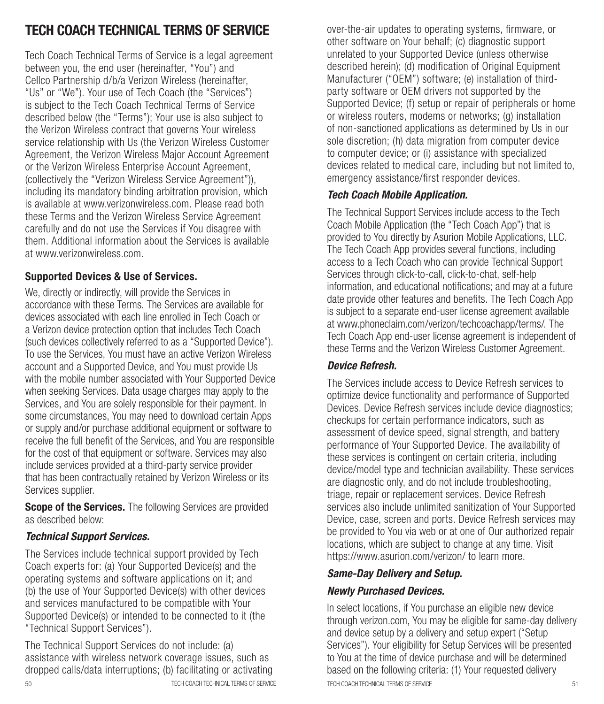## TECH COACH TECHNICAL TERMS OF SERVICE

Tech Coach Technical Terms of Service is a legal agreement between you, the end user (hereinafter, "You") and Cellco Partnership d/b/a Verizon Wireless (hereinafter, "Us" or "We"). Your use of Tech Coach (the "Services") is subject to the Tech Coach Technical Terms of Service described below (the "Terms"); Your use is also subject to the Verizon Wireless contract that governs Your wireless service relationship with Us (the Verizon Wireless Customer Agreement, the Verizon Wireless Major Account Agreement or the Verizon Wireless Enterprise Account Agreement, (collectively the "Verizon Wireless Service Agreement")), including its mandatory binding arbitration provision, which is available at www.verizonwireless.com. Please read both these Terms and the Verizon Wireless Service Agreement carefully and do not use the Services if You disagree with them. Additional information about the Services is available at www.verizonwireless.com.

#### Supported Devices & Use of Services.

We, directly or indirectly, will provide the Services in accordance with these Terms. The Services are available for devices associated with each line enrolled in Tech Coach or a Verizon device protection option that includes Tech Coach (such devices collectively referred to as a "Supported Device"). To use the Services, You must have an active Verizon Wireless account and a Supported Device, and You must provide Us with the mobile number associated with Your Supported Device when seeking Services. Data usage charges may apply to the Services, and You are solely responsible for their payment. In some circumstances, You may need to download certain Apps or supply and/or purchase additional equipment or software to receive the full benefit of the Services, and You are responsible for the cost of that equipment or software. Services may also include services provided at a third-party service provider that has been contractually retained by Verizon Wireless or its Services supplier.

**Scope of the Services.** The following Services are provided as described below:

## *Technical Support Services.*

The Services include technical support provided by Tech Coach experts for: (a) Your Supported Device(s) and the operating systems and software applications on it; and (b) the use of Your Supported Device(s) with other devices and services manufactured to be compatible with Your Supported Device(s) or intended to be connected to it (the "Technical Support Services").

The Technical Support Services do not include: (a) assistance with wireless network coverage issues, such as dropped calls/data interruptions; (b) facilitating or activating over-the-air updates to operating systems, firmware, or other software on Your behalf; (c) diagnostic support unrelated to your Supported Device (unless otherwise described herein); (d) modification of Original Equipment Manufacturer ("OEM") software; (e) installation of thirdparty software or OEM drivers not supported by the Supported Device; (f) setup or repair of peripherals or home or wireless routers, modems or networks; (g) installation of non-sanctioned applications as determined by Us in our sole discretion; (h) data migration from computer device to computer device; or (i) assistance with specialized devices related to medical care, including but not limited to, emergency assistance/first responder devices.

## *Tech Coach Mobile Application.*

The Technical Support Services include access to the Tech Coach Mobile Application (the "Tech Coach App") that is provided to You directly by Asurion Mobile Applications, LLC. The Tech Coach App provides several functions, including access to a Tech Coach who can provide Technical Support Services through click-to-call, click-to-chat, self-help information, and educational notifications; and may at a future date provide other features and benefits. The Tech Coach App is subject to a separate end-user license agreement available at www.phoneclaim.com/verizon/techcoachapp/terms/. The Tech Coach App end-user license agreement is independent of these Terms and the Verizon Wireless Customer Agreement.

#### *Device Refresh.*

The Services include access to Device Refresh services to optimize device functionality and performance of Supported Devices. Device Refresh services include device diagnostics; checkups for certain performance indicators, such as assessment of device speed, signal strength, and battery performance of Your Supported Device. The availability of these services is contingent on certain criteria, including device/model type and technician availability. These services are diagnostic only, and do not include troubleshooting, triage, repair or replacement services. Device Refresh services also include unlimited sanitization of Your Supported Device, case, screen and ports. Device Refresh services may be provided to You via web or at one of Our authorized repair locations, which are subject to change at any time. Visit https://www.asurion.com/verizon/ to learn more.

#### *Same-Day Delivery and Setup.*

#### *Newly Purchased Devices.*

50 TECH COACH TECHNICAL TERMS OF SERVICE TECH COACH TECHNICAL TERMS OF SERVICE 51 In select locations, if You purchase an eligible new device through verizon.com, You may be eligible for same-day delivery and device setup by a delivery and setup expert ("Setup Services"). Your eligibility for Setup Services will be presented to You at the time of device purchase and will be determined based on the following criteria: (1) Your requested delivery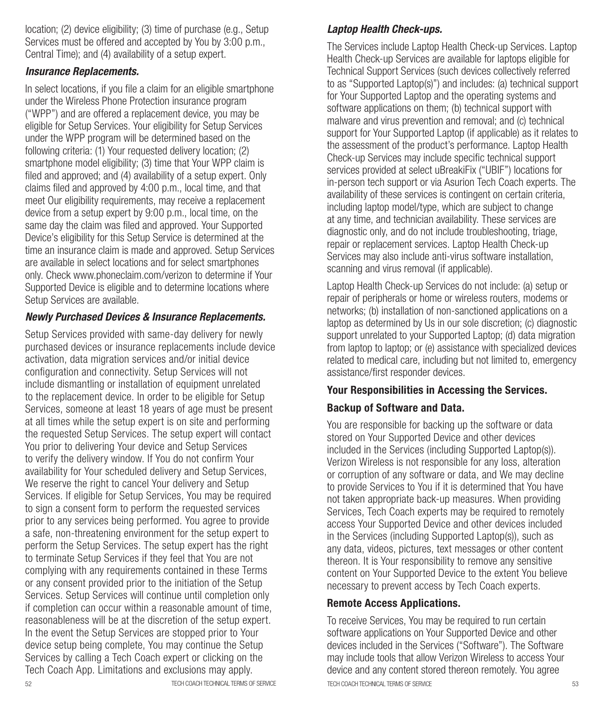location; (2) device eligibility; (3) time of purchase (e.g., Setup Services must be offered and accepted by You by 3:00 p.m., Central Time); and (4) availability of a setup expert.

#### *Insurance Replacements.*

In select locations, if you file a claim for an eligible smartphone under the Wireless Phone Protection insurance program ("WPP") and are offered a replacement device, you may be eligible for Setup Services. Your eligibility for Setup Services under the WPP program will be determined based on the following criteria: (1) Your requested delivery location; (2) smartphone model eligibility; (3) time that Your WPP claim is filed and approved; and (4) availability of a setup expert. Only claims filed and approved by 4:00 p.m., local time, and that meet Our eligibility requirements, may receive a replacement device from a setup expert by 9:00 p.m., local time, on the same day the claim was filed and approved. Your Supported Device's eligibility for this Setup Service is determined at the time an insurance claim is made and approved. Setup Services are available in select locations and for select smartphones only. Check www.phoneclaim.com/verizon to determine if Your Supported Device is eligible and to determine locations where Setup Services are available.

#### *Newly Purchased Devices & Insurance Replacements.*

Setup Services provided with same-day delivery for newly purchased devices or insurance replacements include device activation, data migration services and/or initial device configuration and connectivity. Setup Services will not include dismantling or installation of equipment unrelated to the replacement device. In order to be eligible for Setup Services, someone at least 18 years of age must be present at all times while the setup expert is on site and performing the requested Setup Services. The setup expert will contact You prior to delivering Your device and Setup Services to verify the delivery window. If You do not confirm Your availability for Your scheduled delivery and Setup Services, We reserve the right to cancel Your delivery and Setup Services. If eligible for Setup Services, You may be required to sign a consent form to perform the requested services prior to any services being performed. You agree to provide a safe, non-threatening environment for the setup expert to perform the Setup Services. The setup expert has the right to terminate Setup Services if they feel that You are not complying with any requirements contained in these Terms or any consent provided prior to the initiation of the Setup Services. Setup Services will continue until completion only if completion can occur within a reasonable amount of time, reasonableness will be at the discretion of the setup expert. In the event the Setup Services are stopped prior to Your device setup being complete, You may continue the Setup Services by calling a Tech Coach expert or clicking on the Tech Coach App. Limitations and exclusions may apply.

#### *Laptop Health Check-ups.*

The Services include Laptop Health Check-up Services. Laptop Health Check-up Services are available for laptops eligible for Technical Support Services (such devices collectively referred to as "Supported Laptop(s)") and includes: (a) technical support for Your Supported Laptop and the operating systems and software applications on them; (b) technical support with malware and virus prevention and removal; and (c) technical support for Your Supported Laptop (if applicable) as it relates to the assessment of the product's performance. Laptop Health Check-up Services may include specific technical support services provided at select uBreakiFix ("UBIF") locations for in-person tech support or via Asurion Tech Coach experts. The availability of these services is contingent on certain criteria, including laptop model/type, which are subject to change at any time, and technician availability. These services are diagnostic only, and do not include troubleshooting, triage, repair or replacement services. Laptop Health Check-up Services may also include anti-virus software installation, scanning and virus removal (if applicable).

Laptop Health Check-up Services do not include: (a) setup or repair of peripherals or home or wireless routers, modems or networks; (b) installation of non-sanctioned applications on a laptop as determined by Us in our sole discretion; (c) diagnostic support unrelated to your Supported Laptop; (d) data migration from laptop to laptop; or (e) assistance with specialized devices related to medical care, including but not limited to, emergency assistance/first responder devices.

#### Your Responsibilities in Accessing the Services.

#### Backup of Software and Data.

You are responsible for backing up the software or data stored on Your Supported Device and other devices included in the Services (including Supported Laptop(s)). Verizon Wireless is not responsible for any loss, alteration or corruption of any software or data, and We may decline to provide Services to You if it is determined that You have not taken appropriate back-up measures. When providing Services, Tech Coach experts may be required to remotely access Your Supported Device and other devices included in the Services (including Supported Laptop(s)), such as any data, videos, pictures, text messages or other content thereon. It is Your responsibility to remove any sensitive content on Your Supported Device to the extent You believe necessary to prevent access by Tech Coach experts.

#### Remote Access Applications.

52 TECH COACH TECHNICAL TERMS OF SERVICE TECH COACH TECHNICAL TERMS OF SERVICE 53 To receive Services, You may be required to run certain software applications on Your Supported Device and other devices included in the Services ("Software"). The Software may include tools that allow Verizon Wireless to access Your device and any content stored thereon remotely. You agree